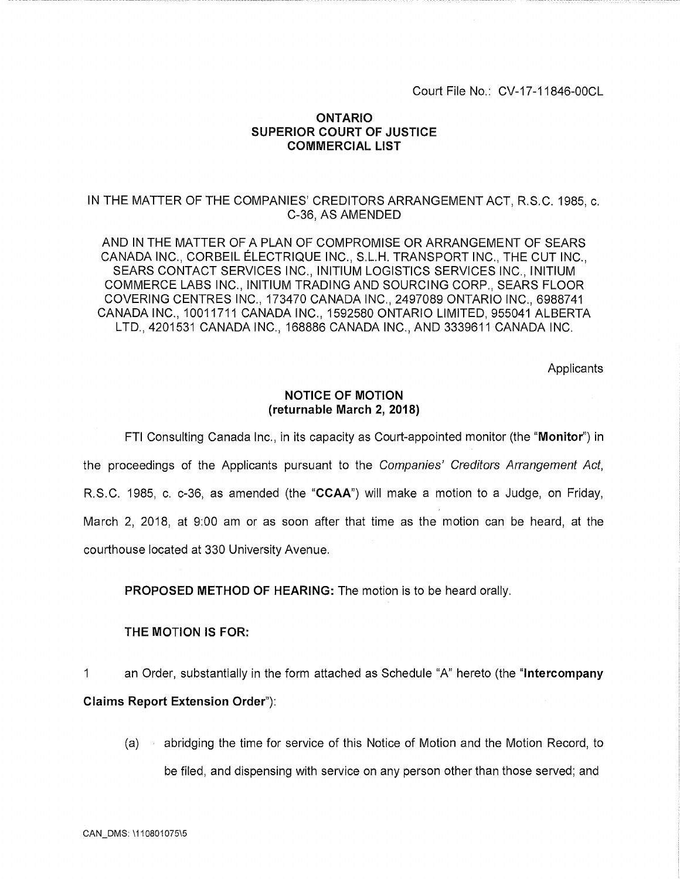Court File No.: CV-17-11846-00CL

## **ONTARIO SUPERIOR COURT OF JUSTICE COMMERCIAL LIST**

## IN THE MATTER OF THE COMPANIES' CREDITORS ARRANGEMENT ACT, R.S.C. 1985, c. C-36, AS AMENDED

AND IN THE MATTER OF A PLAN OF COMPROMISE OR ARRANGEMENT OF SEARS CANADA INC., CORBEIL ELECTRIQUE INC., S.L.H. TRANSPORT INC., THE CUT INC., SEARS CONTACT SERVICES INC., INITIUM LOGISTICS SERVICES INC., INITIUM COMMERCE LABS INC., INITIUM TRADING AND SOURCING CORP., SEARS FLOOR COVERING CENTRES INC., 173470 CANADA INC., 2497089 ONTARIO INC., 6988741 CANADA INC., 10011711 CANADA INC., 1592580 ONTARIO LIMITED, 955041 ALBERTA LTD., 4201531 CANADA INC., 168886 CANADA INC., AND 3339611 CANADA INC.

**Applicants** 

## **NOTICE OF MOTION (returnable March 2, 2018)**

FTI Consulting Canada Inc., in its capacity as Court-appointed monitor (the "Monitor") in the proceedings of the Applicants pursuant to the Companies' Creditors Arrangement Act, R.S.C. 1985, c. c-36, as amended (the **"CCAA")** will make a motion to a Judge, on Friday, March 2, 2018, at 9:00 am or as soon after that time as the motion can be heard, at the courthouse located at 330 University Avenue.

**PROPOSED METHOD OF HEARING:** The motion is to be heard orally.

## **THE MOTION IS FOR:**

1 an Order, substantially in the form attached as Schedule "A" hereto (the **"Intercompany** 

## **Claims Report Extension Order"):**

(a) abridging the time for service of this Notice of Motion and the Motion Record, to be filed, and dispensing with service on any person other than those served; and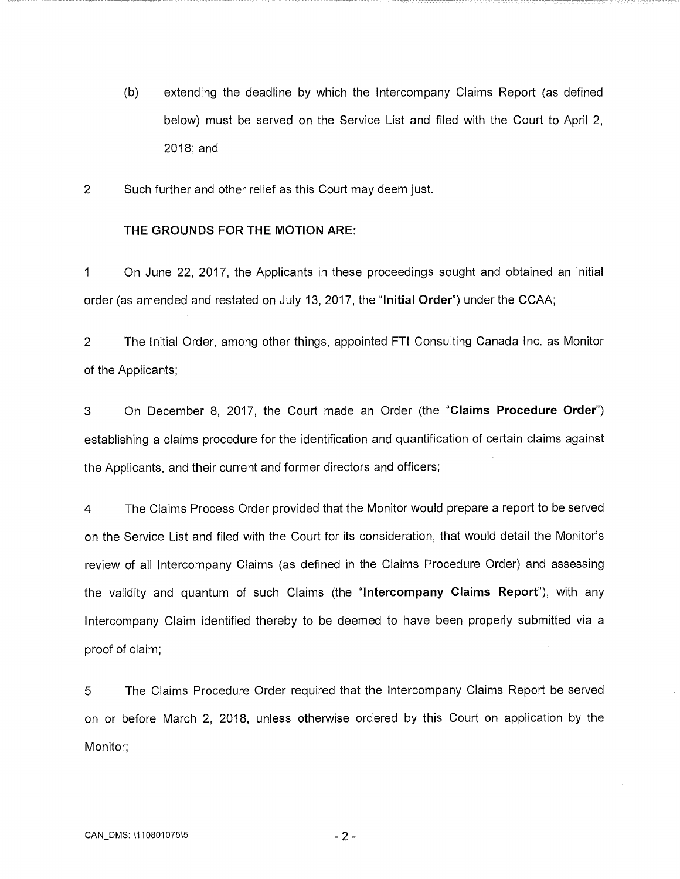- (b) extending the deadline by which the Intercompany Claims Report (as defined below) must be served on the Service List and filed with the Court to April 2, 2018; and
- 2 Such further and other relief as this Court may deem just.

### **THE GROUNDS FOR THE MOTION ARE:**

1 On June 22, 2017, the Applicants in these proceedings sought and obtained an initial order (as amended and restated on July 13, 2017, the **"Initial Order")** under the CCAA;

2 The Initial Order, among other things, appointed **FTI** Consulting Canada Inc. as Monitor of the Applicants;

3 On December 8, 2017, the Court made an Order (the **"Claims Procedure Order")**  establishing a claims procedure for the identification and quantification of certain claims against the Applicants, and their current and former directors and officers;

4 The Claims Process Order provided that the Monitor would prepare a report to be served on the Service List and filed with the Court for its consideration, that would detail the Monitor's review of all Intercompany Claims (as defined in the Claims Procedure Order) and assessing the validity and quantum of such Claims (the **"Intercompany Claims Report"),** with any Intercompany Claim identified thereby to be deemed to have been properly submitted via a proof of claim;

5 The Claims Procedure Order required that the Intercompany Claims Report be served on or before March 2, 2018, unless otherwise ordered by this Court on application by the Monitor;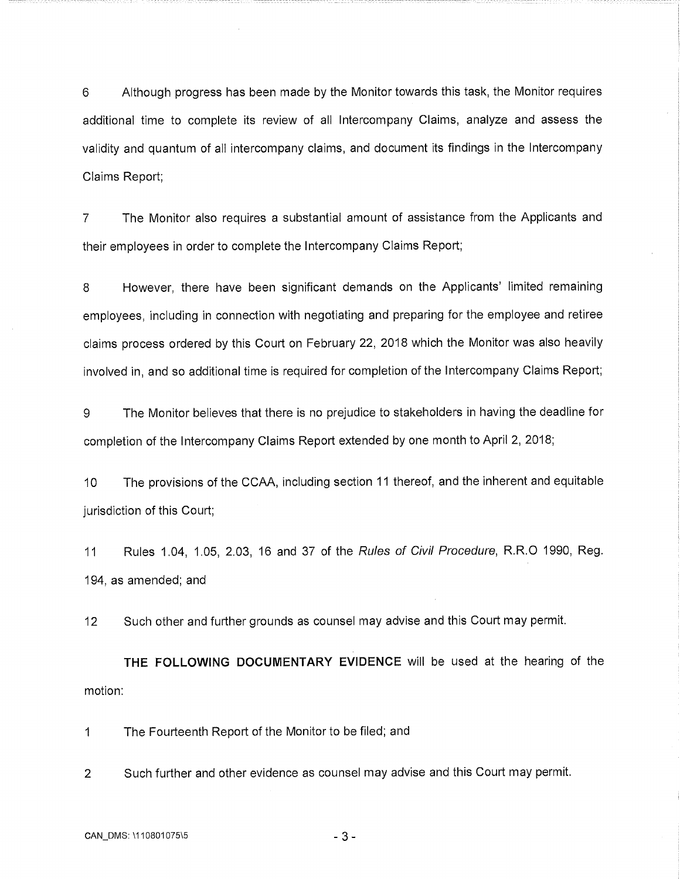6 Although progress has been made by the Monitor towards this task, the Monitor requires additional time to complete its review of all Intercompany Claims, analyze and assess the validity and quantum of all intercompany claims, and document its findings in the Intercompany Claims Report;

7 The Monitor also requires a substantial amount of assistance from the Applicants and their employees in order to complete the Intercompany Claims Report;

8 However, there have been significant demands on the Applicants' limited remaining employees, including in connection with negotiating and preparing for the employee and retiree claims process ordered by this Court on February 22, 2018 which the Monitor was also heavily involved in, and so additional time is required for completion of the Intercompany Claims Report;

9 The Monitor believes that there is no prejudice to stakeholders in having the deadline for completion of the Intercompany Claims Report extended by one month to April 2, 2018;

10 The provisions of the CCAA, including section 11 thereof, and the inherent and equitable jurisdiction of this Court;

11 Rules 1.04, 1.05, 2.03, 16 and 37 of the Rules of Civil Procedure, R.R.O 1990, Reg. 194, as amended; and

12 Such other and further grounds as counsel may advise and this Court may permit.

**THE FOLLOWING DOCUMENTARY EVIDENCE** will be used at the hearing of the motion:

1 The Fourteenth Report of the Monitor to be filed; and

2 Such further and other evidence as counsel may advise and this Court may permit.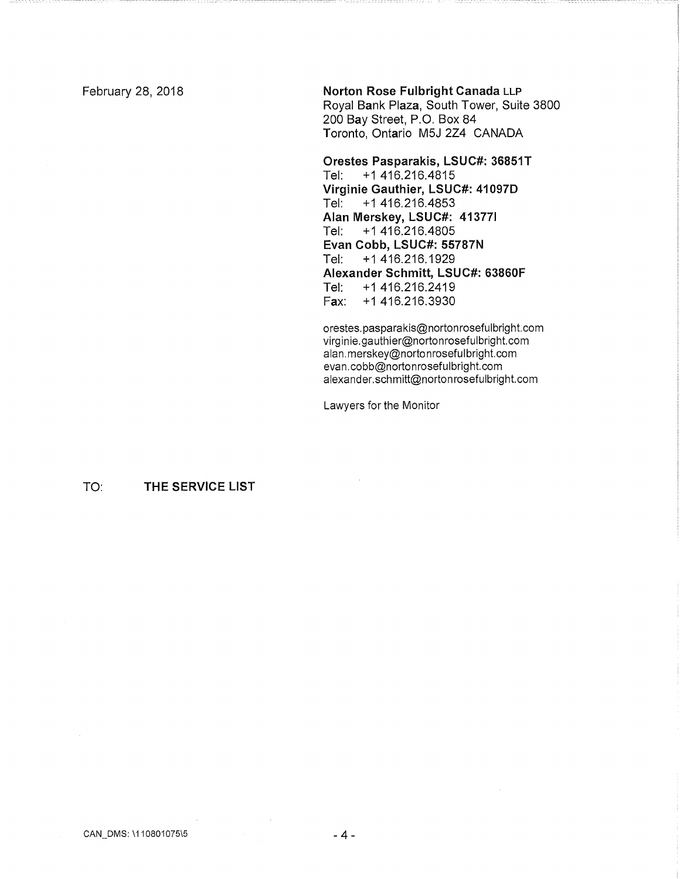## February 28, 2018 **Norton Rose Fulbright Canada LLP**  Royal Bank Plaza, South Tower, Suite 3800

200 Bay Street, P.O. Box 84 Toronto, Ontario M5J 2Z4 CANADA

**Orestes Pasparakis, LSUC#: 36851T**  Tel: +1 416.216.4815 **Virginie Gauthier, LSUC#: 41097D**  Tel: +1 416.216.4853 **Alan Merskey, LSUC#: 413771**  Tel: +1 416.216.4805 **Evan Cobb, LSUC#: 55787N**  Tel: +1 416.216.1929 **Alexander Schmitt, LSUC#: 63860F**  Tel: +1 416.216.2419 Fax: +1 416.216.3930

orestes.pasparakis@nortonrosefulbright.com virginie.gauthier@nortonrosefulbright.com alan.merskey@nortonrosefulbright.com evan.cobb@nortonrosefulbright.com alexander.schmitt@nortonrosefulbright.com

Lawyers for the Monitor

TO: **THE SERVICE LIST**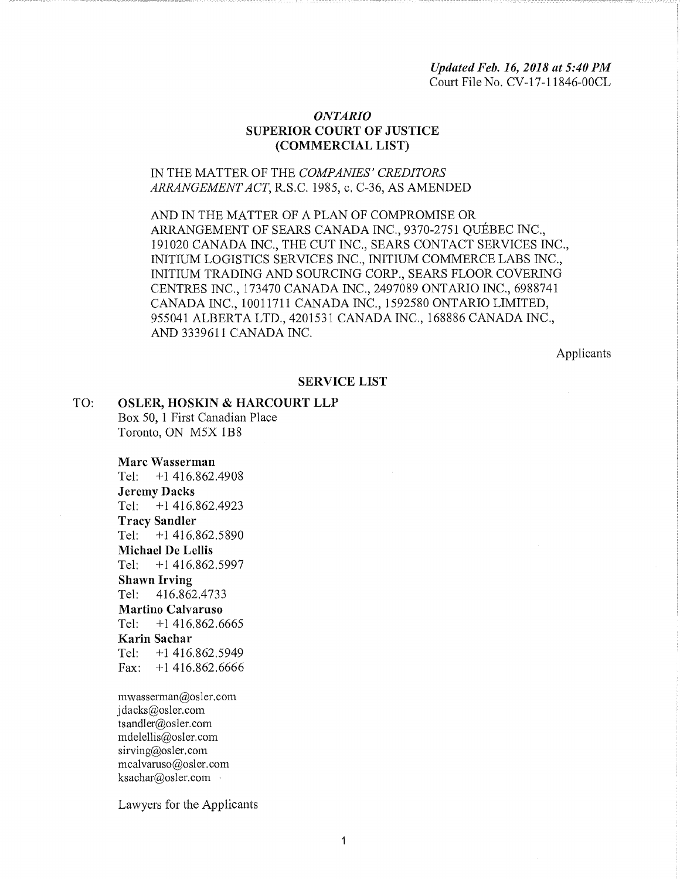*Updated Feb. 16, 2018 at 5:40 PM*  Court File No. CV-17-11846-00CL

## *ONTARIO*  SUPERIOR COURT OF JUSTICE (COMMERCIAL LIST)

## IN THE MATTER OF THE *COMPANIES' CREDITORS ARRANGEMENT ACT,* R.S.C. 1985, c. C-36, AS AMENDED

AND IN THE MATTER OF A PLAN OF COMPROMISE OR ARRANGEMENT OF SEARS CANADA INC., 9370-2751 QUEBEC INC., 191020 CANADA INC., THE CUT INC., SEARS CONTACT SERVICES INC., INITIUM LOGISTICS SERVICES INC., INITIUM COMMERCE LABS INC., INITIUM TRADING AND SOURCING CORP., SEARS FLOOR COVERING CENTRES INC., 173470 CANADA INC., 2497089 ONTARIO INC., 6988741 CANADA INC., 10011711 CANADA INC., 1592580 ONTARIO LIMITED, 955041 ALBERTA LTD., 4201531 CANADA INC,, 168886 CANADA INC., AND 3339611 CANADA INC.

Applicants

### SERVICE LIST

## TO: OSLER, HOSKIN & HARCOURT LLP Box 50, 1 First Canadian Place Toronto, ON M5X 1B8

Marc Wasserman Tel: +1 416.862.4908 Jeremy Dacks Tel: +1 416.862.4923 Tracy Sandler Tel: +1 416.862.5890 Michael De Lellis Tel: +1 416.862.5997 Shawn Irving Tel: 416.862.4733 Martino Calvaruso Tel: +1 416.862.6665 Karin Sachar Tel: +1 416.862.5949 Fax: +1 416.862.6666

mwasserman@osler.com jdacks@osler.com tsandler@osler.com mdelellis@osler.eom sirving@osler.com mcalvaruso@osler.com ksachar@osler.com -

Lawyers for the Applicants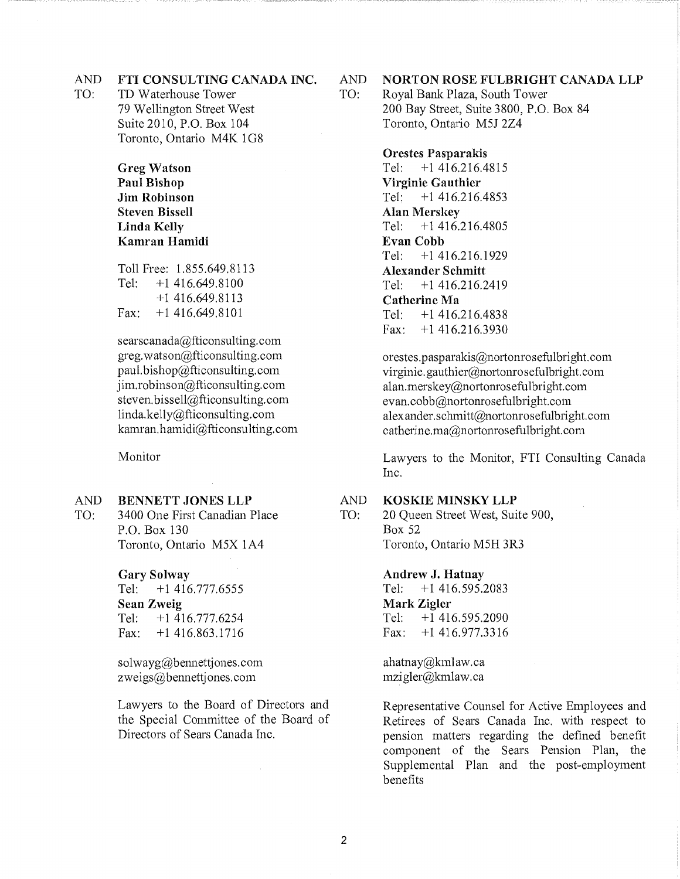## AND FTI CONSULTING CANADA INC. AND

TO: TD Waterhouse Tower TO: TO: 79 Wellington Street West Suite 2010, P.O. Box 104 Toronto, Ontario M4K 1G8

> Greg Watson Paul Bishop Jim Robinson Steven Bissell Linda Kelly Kamran Hamidi

Toll Free: 1.855.649,8113 Tel: +1 416.649.8100 +1 416.649.8113 Fax: +1 416.649,8101

searscanada@fticonsulting.com greg.watson@fticonsulting.com  $paul.bishop@fticonsulting.com$ jim.robinson@fticonsulting.com steven,bissell@fticonsulting.com linda.kelly@fticonsulting.com kamran.hamidi@fticonsulting.com

Monitor

### AND BENNETT JONES LLP

TO: 3400 One First Canadian Place P.O. Box 130 Toronto, Ontario M5X 1A4

> Gary Solway Tel: +1416.777.6555 Sean Zweig Tel: +1416.777.6254 Fax:  $+1416.863.1716$

solwayg@bennettjones.com  $zweigs@{bennettjones.com$ 

Lawyers to the Board of Directors and the Special Committee of the Board of Directors of Sears Canada Inc.

## NORTON ROSE FULBRIGHT CANADA LLP

Royal Bank Plaza, South Tower 200 Bay Street, Suite 3800, P.O. Box 84 Toronto, Ontario M5J 2Z4

> Orestes Pasparakis Tel: +1 416.216.4815 Virginie Gauthier Tel: +1 416.216.4853 Alan Merskey Tel: +1416.216.4805 Evan Cobb Tel: +1 416.216.1929 Alexander Schmitt Tel: +1 416,216.2419 Catherine Ma Tel: +1 416.216.4838 Fax: +1 416.216.3930

orestes.pasparakis@nortonrosefulbright.com virginie.gauthier@nortomosefulbright.com alan.merskey@nortonrosefulbright.com evan.cobb@nortonrosefulbright.com alexander,schmitt@nortonrosefulbright.corn catherine.ma@nortonrosefulbright.com

Lawyers to the Monitor, FTI Consulting Canada Inc.

#### AND KOSKIE MINSKY LLP

TO: 20 Queen Street West, Suite 900, Box 52 Toronto, Ontario M5H 3R3

Andrew J. Hatnay

Tel: +1 416.595.2083 Mark Zigler Tel: +1 416.595.2090 Fax: +1 416.977.3316

ahatnay@kmlaw.ca mzigler@kmlaw.ca

Representative Counsel for Active Employees and Retirees of Sears Canada Inc. with respect to pension matters regarding the defined benefit component of the Sears Pension Plan, the Supplemental Plan and the post-employment benefits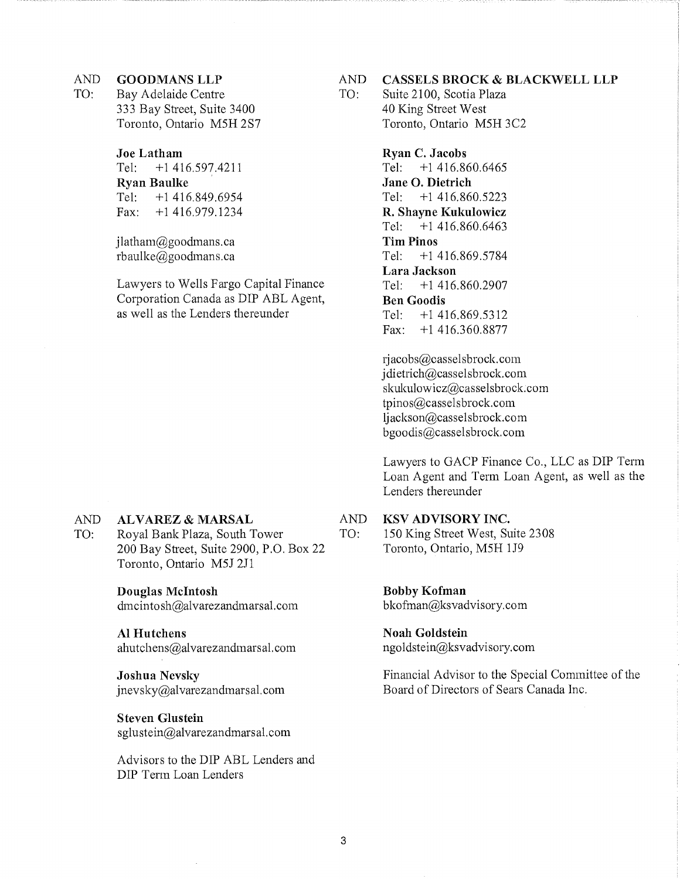TO: Bay Adelaide Centre TO: Suite 2100, Scotia Plaza 333 Bay Street, Suite 3400 40 King Street West

## Joe Latham

Tel: +1416.597.4211 Ryan Baulke Tel: +1 416.849.6954 Fax: +1 416.979.1234

jlatham@goodmans.ca rbaulke@goodmans.ca

Lawyers to Wells Fargo Capital Finance Corporation Canada as DIP ABL Agent, as well as the Lenders thereunder

#### AND ALVAREZ & MARSAL

TO: Royal Bank Plaza, South Tower 200 Bay Street, Suite 2900, P.O. Box 22 Toronto, Ontario M5J 2J1

## Douglas McIntosh

dmcintosh@alvarezandmarsal,com

### Al Hutchens

ahutchens@alvarezandmarsal.com

## Joshua Nevsky jnevsky@alvarezandmarsal.com

Steven Glustein sglustein@alvarezandmarsal.com

Advisors to the DIP ABL Lenders and DIP Term Loan Lenders

## AND GOODMANS LLP AND CASSELS BROCK & BLACKWELL LLP

Toronto, Ontario M5H 2S7 Toronto, Ontario M5H 3C2

Ryan C. Jacobs Tel: +1 416.860.6465 Jane 0. Dietrich Tel: +1 416.860.5223 R. Shayne Kukulowicz Tel: +1 416.860.6463 Tim Pinos Tel: +1 416.869.5784 Lara Jackson Tel: +1 416.860.2907 Ben Goodis Tel: +1 416.869.5312 Fax: +1 416.360.8877

rjacobs@casselsbrock, corn j dietrich@casselsbrock.com skukulowicz@casselsbrock.com tpinos@casselsbrock.com ljackson@casselsbrock.com bgoodis@casselsbrock.com

Lawyers to GACP Finance Co., LLC as DIP Term Loan Agent and Term Loan Agent, as well as the Lenders thereunder

#### AND KSV ADVISORY INC.

TO: 150 King Street West, Suite 2308 Toronto, Ontario, M5H 1J9

> Bobby Kofman bkofman@ksvadvisory.com

## Noah Goldstein

ngoldstein@ksvadvisory.corn

Financial Advisor to the Special Committee of the Board of Directors of Sears Canada Inc.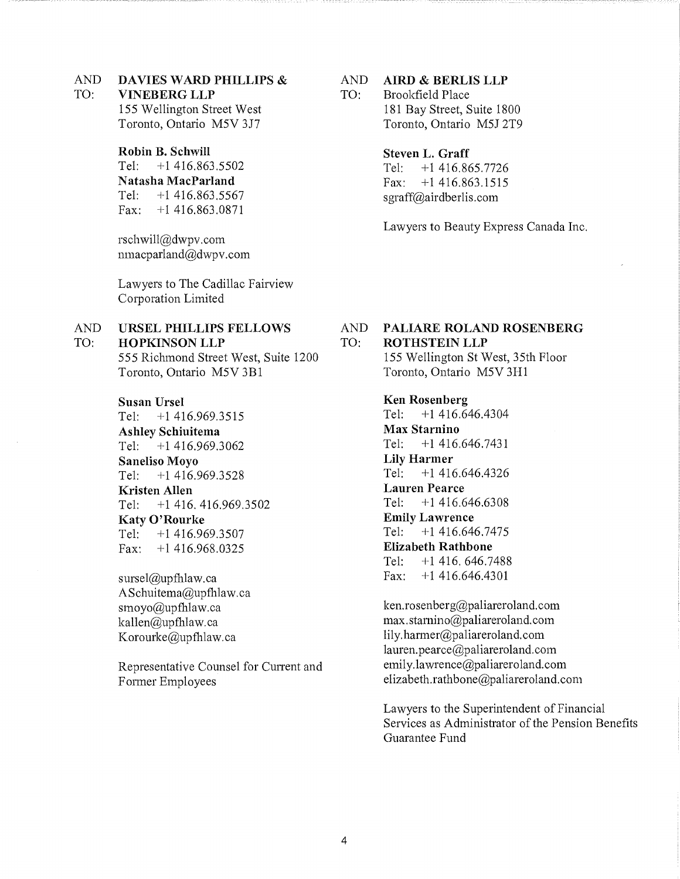## AND DAVIES WARD PHILLIPS & AND AIRD & BERLIS LLP

# **Robin B. Schwill**<br>
Tel: +1 416.863.5502<br>
Tel: +1 416.863.5502<br>
Tel: +1 416.86

**Natasha MacParland** Fax:  $+1$  416.863.1515<br>
Tel:  $+1$  416.863.5567 seraff@airdberlis.com Tel: +1 416.863.5567 sgraff@airdberlis.com<br>Fax: +1 416.863.0871  $+1416.863.0871$ 

rschwill@dwpv.com nmacparland@dwpv.com

Lawyers to The Cadillac Fairview Corporation Limited

555 Richmond Street West, Suite 1200 155 Wellington St West, 35th Floor Toronto, Ontario M5V 3B1 Toronto, Ontario M5V 3H1

Susan Ursel<br>
Tel: +1 416 969 3515<br>
Tel: +1 416.646.4304

Tel: +1 416.969.3515 Tel: +1 416.<br>Ashley Schinitema Max Starnino Ashley Schiuitema Max Starnino Tel: +1 416,969,3062 Tel: +1 416<br> **Saneliso Movo** Lily Harmer Saneliso Moyo<br>
Tel: +1 416 969 3528<br>
Tel: +1 416.646.4326 Tel: +1 416.969.3528 Kristen Allen<br>  $T_{el}$ :  $+14164164693502$ <br>  $T_{el}$ :  $+1416.6466308$ Tel:  $+1$  416, 416, 969, 3502 **Katy O'Rourke**<br>  $T_{el}$ :  $+14169693507$ <br> **Emily Lawrence**<br>  $T_{el}$ :  $+1416.646.7475$ Tel:  $+1$  416.969.3507

ASchuitema@upfhlaw,ca

Former Employees elizabeth.rathbone@paliareroland.com

TO: VINEBERG LLP TO: Brookfield Place 155 Wellington Street West 181 Bay Street, Suite 1800 Toronto, Ontario M5V 3J7 Toronto, Ontario M5J 2T9

Tel: +1 416.863.5502 Tel: +1416.865.7726

Lawyers to Beauty Express Canada Inc.

## AND URSEL PHILLIPS FELLOWS AND PALIARE ROLAND ROSENBERG TO: HOPKINSON LLP TO: ROTHSTEIN LLP

Fax: +1 416.968.0325 **Elizabeth Rathbone**<br>Tel: +1 416.646.7  $+1$  416, 646.7488 sursel@upfhlaw.ca Fax:  $+1$  416.646.4301

smoyo@upfhlaw.ca ken.rosenberg@paliareroland.com kallen@upfhlaw.ea max.starnino@paliareroland.com Korourke@upfhlaw.ca lily.harmer@paliareroland.com lauren.pearce@paliareroland.com Representative Counsel for Current and emily lawrence@paliareroland.com

> Lawyers to the Superintendent of Financial Services as Administrator of the Pension Benefits Guarantee Fund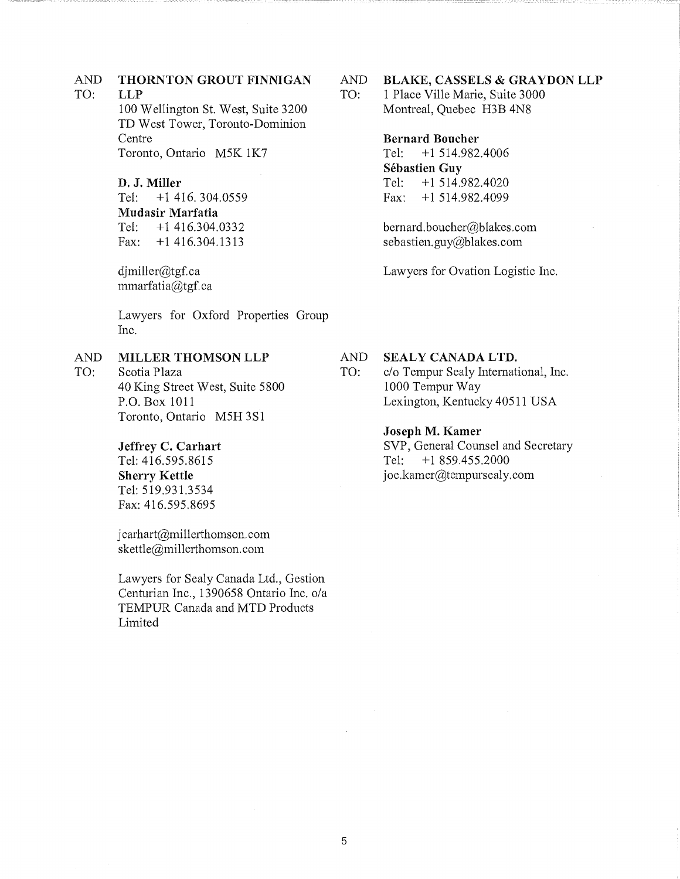### AND THORNTON GROUT FINNIGAN

TO: LLP

> 100 Wellington St. West, Suite 3200 TD West Tower, Toronto-Dominion Centre Toronto, Ontario M5K 1K7

### D. J. Miller

Tel: +1416.304.0559 Mudasir Marfatia Tel: +1 416.304.0332 Fax: +1 416.304.1313

djmiller@tgf.ca  $mmarfatia@tgf.ca$ 

Lawyers for Oxford Properties Group Inc.

#### AND MILLER THOMSON LLP

TO: Scotia Plaza 40 King Street West, Suite 5800 P.O. Box 1011 Toronto, Ontario M5H 3S1

## Jeffrey C. Carhart

Tel: 416.595.8615 Sherry Kettle Tel: 519.931.3534 Fax: 416.595.8695

jcarhart@millerthomson.com skettle@millerthomson.com

Lawyers for Sealy Canada Ltd., Gestion Centurian Inc., 1390658 Ontario Inc. o/a TEMPUR Canada and MTD Products Limited

AND BLAKE, CASSELS & GRAYDON LLP

TO: 1 Place Ville Marie, Suite 3000 Montreal, Quebec H3B 4N8

### Bernard Boucher

Tel: +1514.982.4006 Sebastien Guy Tel: +1 514.982.4020 Fax: +1 514.982.4099

bernard.boucher@blakes.com sebastien,guy@blakes.com

Lawyers for Ovation Logistic Inc.

## AND SEALY CANADA LTD.

TO: c/o Tempur Sealy International, Inc. 1000 Tempur Way Lexington, Kentucky 40511 USA

### Joseph M. Kamer

SVP, General Counsel and Secretary Tel: +1 859.455.2000 joe.kamer@tempursealy,com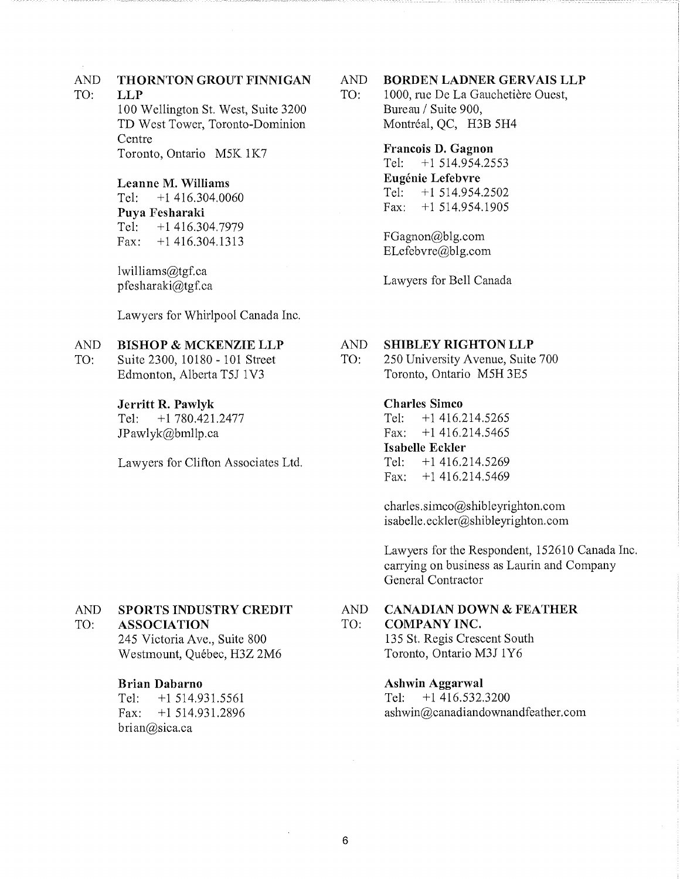### AND THORNTON GROUT FINNIGAN

TO:

LLP 100 Wellington St, West, Suite 3200 TD West Tower, Toronto-Dominion Centre Toronto, Ontario M5K 1K7

Leanne M. Williams Tel: +1416.304.0060 Puya Fesharaki Tel: +1416.304.7979 Fax: +1416.304.1313

lwilliams@tgf.ca pfesharaki@tgf.ca

Lawyers for Whirlpool Canada Inc.

#### AND BISHOP & MCKENZIE LLP

TO: Suite 2300, 10180 - 101 Street Edmonton, Alberta T5J 1V3

### Jerritt R. Pawlyk

Tel: +1 780.421.2477 JP awlyk@bmllp ca

Lawyers for Clifton Associates Ltd,

## AND BORDEN LADNER GERVAIS LLP

TO: 1000, rue De La Gauchetière Ouest, Bureau / Suite 900, Montréal, OC, H3B 5H4

## Francois D. Gagnon Tel: +1 514.954.2553 Eugénie Lefebvre Tel: +1 514.954.2502 Fax: +1514.954.1905

FGagnon@blg.com ELefebvre@blg.com

Lawyers for Bell Canada

## AND SHIBLEY RIGHTON LLP

TO: 250 University Avenue, Suite 700 Toronto, Ontario M5H 3E5

## Charles Simco

Tel: +1 416.214.5265 Fax:  $+1416.214.5465$ Isabelle Eckler Tel: +1 416.214.5269 Fax:  $+1416.214.5469$ 

charles.simco@shibleyrighton,corn isabelle.eckler@shibleyrighton.com

Lawyers for the Respondent, 152610 Canada Inc. carrying on business as Laurin and Company General Contractor

## AND CANADIAN DOWN & FEATHER

## TO: COMPANY INC.

135 St, Regis Crescent South Toronto, Ontario M3J 1Y6

## Ashwin Aggarwal

Tel: +1 416.532.3200 ashwin@canadiandownandfeather.com

### AND TO: SPORTS INDUSTRY CREDIT

ASSOCIATION

245 Victoria Ave., Suite 800 Westmount, Québec, H3Z 2M6

## Brian Dabarno

Tel: +1 514.931.5561 Fax: +1514.931.2896 brian@sica.ca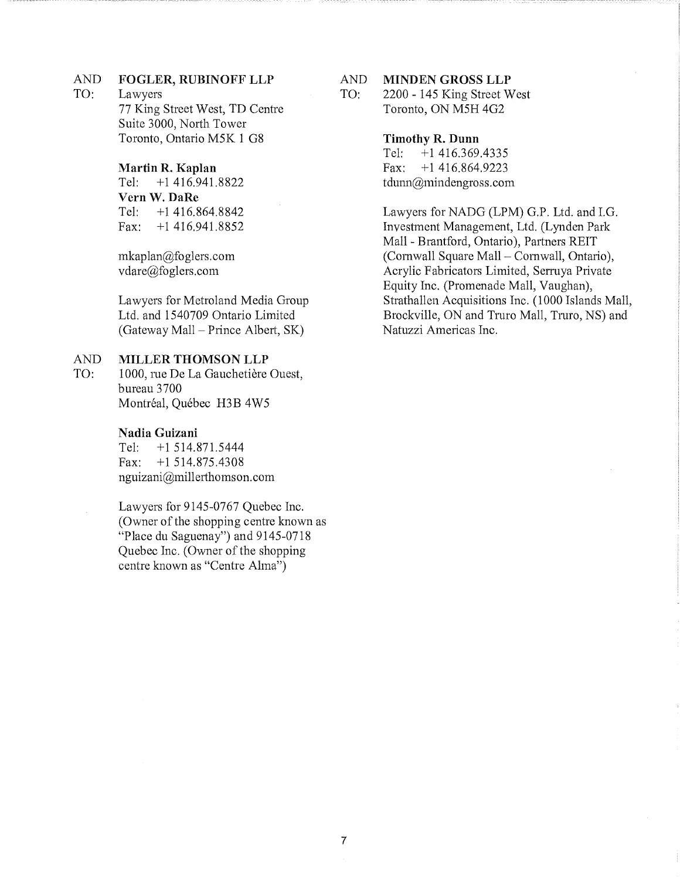#### AND FOGLER, RUBINOFF LLP

### TO: Lawyers

77 King Street West, TD Centre Suite 3000, North Tower Toronto, Ontario M5K 1 G8

## Martin R. Kaplan

Tel: +1 416.941.8822 Vern W. DaRe Tel: +1 416.864.8842 Fax: +1 416,941.8852

mkaplan@foglers.com vdare@foglers.com

Lawyers for Metroland Media Group Ltd. and 1540709 Ontario Limited (Gateway Mall — Prince Albert, SK)

#### AND MILLER THOMSON LLP

TO: 1000, rue De La Gauchetière Ouest, bureau 3700 Montréal, Québec H3B 4W5

### Nadia Guizani

Tel: +1514.871.5444 Fax: +1514.875.4308 nguizani@millerthomson.com

Lawyers for 9145-0767 Quebec Inc. (Owner of the shopping centre known as "Place du Saguenay") and 9145-0718 Quebec Inc. (Owner of the shopping centre known as "Centre Alma")

## AND MINDEN GROSS LLP

TO: 2200 - 145 King Street West Toronto, ON M5H 4G2

## Timothy R. Dunn

Tel: +1 416.369.4335 Fax: +1 416.864.9223 tdunn@mindengross.com

Lawyers for NADG (LPM) G.P. Ltd. and I.G. Investment Management, Ltd. (Lynden Park Mall - Brantford, Ontario), Partners REIT (Cornwall Square Mall — Cornwall, Ontario), Acrylic Fabricators Limited, Serruya Private Equity Inc. (Promenade Mall, Vaughan), Strathallen Acquisitions Inc. (1000 Islands Mall, Brockville, ON and Truro Mall, Truro, NS) and Natuzzi Americas Inc.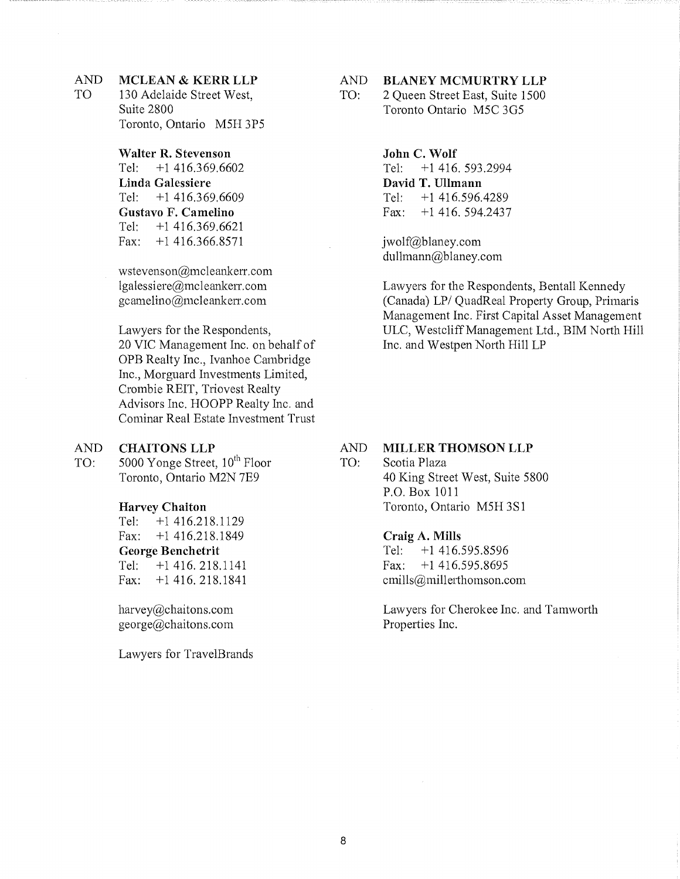AND MCLEAN & KERR LLP

TO 130 Adelaide Street West, Suite 2800 Toronto, Ontario M5H 3P5

> Walter R. Stevenson Tel: +1 416.369.6602 Linda Galessiere Tel: +1416.369.6609 Gustavo F. Camelino Tel: +1 416.369.6621 Fax:  $+1$  416.366.8571

wstevenson@mcleankerr.com lgalessiere@mcleankerr.com gcamelino@mcleankerr.com

Lawyers for the Respondents, 20 VIC Management Inc. on behalf of OPB Realty Inc., Ivanhoe Cambridge Inc., Morguard Investments Limited, Crombie REIT, Triovest Realty Advisors Inc, HOOPP Realty Inc. and Cominar Real Estate Investment Trust

## AND **CHAITONS LLP** AND

TO:  $5000$  Yonge Street,  $10^{th}$  Floor TO: Toronto, Ontario M2N 7E9

## Harvey Chaiton

Tel: +1 416.218.1129 Fax: +1 416.218.1849 George Benchetrit Tel: +1 416. 218.1141 Fax: +1416.218.1841

harvey@chaitons.com george@chaitons.com

Lawyers for TravelBrands

AND BLANEY MCMURTRY LLP

TO: 2 Queen Street East, Suite 1500 Toronto Ontario M5C 3G5

## John C. Wolf

Tel: +1 416. 593.2994 David T. Ullmann Tel: +1 416.596.4289 Fax: +1 416. 594.2437

jwolf@blaney.com dullmann@blaney.com

Lawyers for the Respondents, Bentall Kennedy (Canada) LP/ QuadReal Property Group, Primaris Management Inc. First Capital Asset Management ULC, Westcliff Management Ltd., BIM North Hill Inc. and Westpen North Hill LP

## MILLER THOMSON LLP

Scotia Plaza 40 King Street West, Suite 5800 P.O. Box 1011 Toronto, Ontario M5H 3S1

### Craig A. Mills

Tel: +1 416.595.8596 Fax:  $+1$  416.595.8695 cmills@millerthomson.com

Lawyers for Cherokee Inc. and Tamworth Properties Inc.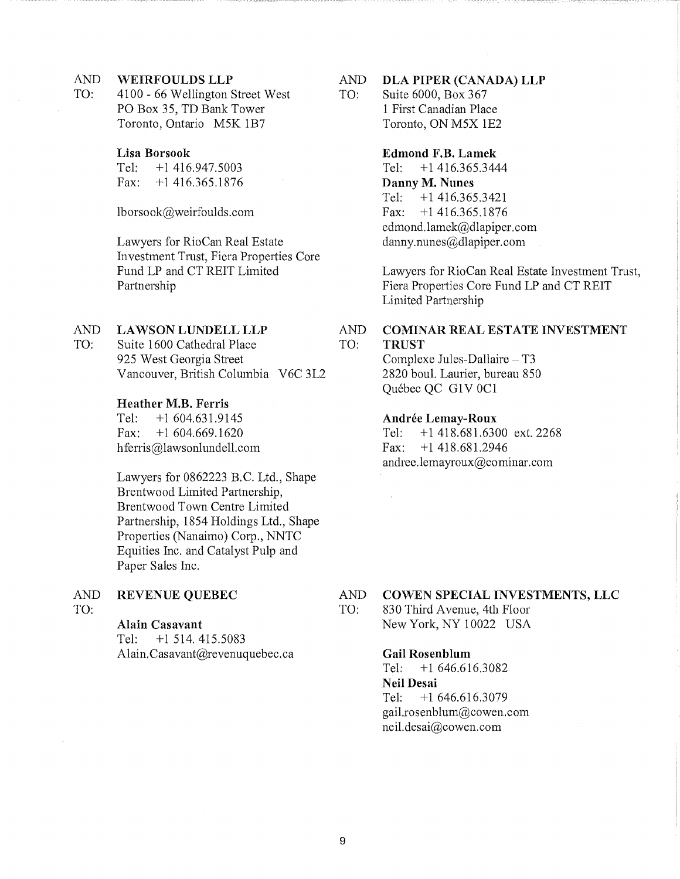## AND WEIRFOULDS LLP

TO: 4100 - 66 Wellington Street West PO Box 35, TD Bank Tower Toronto, Ontario M5K 1B7

## Lisa Borsook

Tel: +1 416,947.5003 Fax: +1 416.365.1876

lborsook@weirfoulds.com

Lawyers for RioCan Real Estate Investment Trust, Fiera Properties Core Fund LP and CT REIT Limited Partnership

## AND LAWSON LUNDELL LLP

TO: Suite 1600 Cathedral Place 925 West Georgia Street Vancouver, British Columbia V6C 3L2

Heather M.B. Ferris

Tel: +1 604.631.9145 Fax: +1 604.669.1620 hferris@lawsonlundell.com

Lawyers for 0862223 B.C. Ltd., Shape Brentwood Limited Partnership, Brentwood Town Centre Limited Partnership, 1854 Holdings Ltd., Shape Properties (Nanaimo) Corp., NNTC Equities Inc. and Catalyst Pulp and Paper Sales Inc.

AND REVENUE QUEBEC TO:

## Alain Casavant

Tel: +1 514. 415.5083 Alain,Casavant@revenuquebec.ca

#### AND DLA PIPER (CANADA) LLP

TO: Suite 6000, Box 367 1 First Canadian Place Toronto, ON M5X 1E2

## Edmond F.B. Lamek

Tel: +1 416.365.3444 Danny M. Nunes Tel: +1416.365.3421 Fax: +1 416.365.1876 edmond.lamek@dlapiper.com danny.nunes@dlapiper.com

Lawyers for RioCan Real Estate Investment Trust, Fiera Properties Core Fund LP and CT REIT Limited Partnership

#### AND TO: COMINAR REAL ESTATE INVESTMENT TRUST

Complexe Jules-Dallaire — T3 2820 boul. Laurier, bureau 850 Quebec QC G1V 0C1

## Andrée Lemay-Roux

Tel: +1 418.681.6300 ext. 2268 Fax: +1 418.681.2946 andree.lemayroux@cominar.com

## AND COWEN SPECIAL INVESTMENTS, LLC

TO: 830 Third Avenue, 4th Floor New York, NY 10022 USA

## Gail Rosenblum

Tel: +1 646.616.3082 Neil Desai Tel: +1 646.616.3079 gail.rosenblum@cowen.corn neil.desai@cowen.com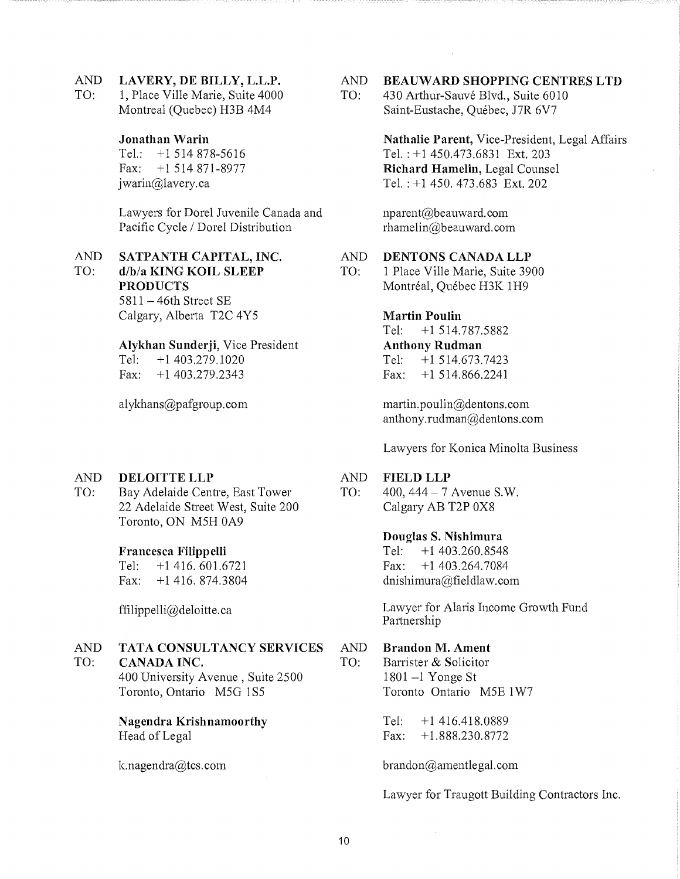## AND LAVERY, DE BILLY, L.L.P. AND

TO: 1, Place Ville Marie, Suite 4000 TO: Montreal (Quebec) H3B 4M4

## Jonathan Warin

Tel.: +1 514 878-5616 Fax: +1 514 871-8977 jwarin@lavery.ca

Lawyers for Dorel Juvenile Canada and Pacific Cycle / Dorel Distribution

### AND TO: SATPANTH CAPITAL, INC. d/b/a KING KOIL SLEEP PRODUCTS 5811 — 46th Street SE

Calgary, Alberta T2C 4Y5

## Alykhan Sunderji, Vice President

Tel: +1 403.279.1020 Fax:  $+1403.279.2343$ 

alykhans@pafgroup.com

## AND DELOITTE LLP

TO: Bay Adelaide Centre, East Tower 22 Adelaide Street West, Suite 200 Toronto, ON M5H 0A9

## Francesca Filippelli

Tel: +1 416. 601.6721 Fax: +1 416. 874.3804

ffilippelli@deloitte.ca

# AND TATA CONSULTANCY SERVICES AND Brandon M. Ament<br>TO: CANADA INC. TO: Barrister & Solicitor

400 University Avenue, Suite 2500 1801 –1 Yonge St Toronto, Ontario M5G 1S5 Toronto Ontario M5E 1W7

## Nagendra Krishnamoorthy Tel: +1 416.418.0889 Head of Legal Fax: +1.888.230.8772

## BEAUWARD SHOPPING CENTRES LTD

430 Arthur-Sauve Blvd., Suite 6010 Saint-Eustache, Quebec, J7R 6V7

> Nathalie Parent, Vice-President, Legal Affairs Tel. : +1 450.473.6831 Ext. 203 Richard Hamelin, Legal Counsel Tel. : +1 450. 473.683 Ext. 202

nparent@beauward.com rhamelin@beauward.corn

#### AND DENTONS CANADA LLP

TO: 1 Place Ville Marie, Suite 3900 Montréal, Québec H3K 1H9

### Martin Poulin

Tel: +1 514.787.5882 Anthony Rudman Tel: +1 514.673.7423 Fax: +1 514.866.2241

martin.poulin@dentons.com anthony.rudman@dentons.com

Lawyers for Konica Minolta Business

#### AND FIELD LLP

TO: 400, 444 — 7 Avenue S.W. Calgary AB T2P 0X8

### Douglas S. Nishimura

Tel: +1 403.260.8548 Fax: +1 403.264.7084 dnishimura@fieldlaw.com

Lawyer for Alaris Income Growth Fund Partnership

TO: CANADA INC. TO: Barrister & Solicitor

k,nagendra@tes.corn brandon@amentlegal.com

Lawyer for Traugott Building Contractors Inc.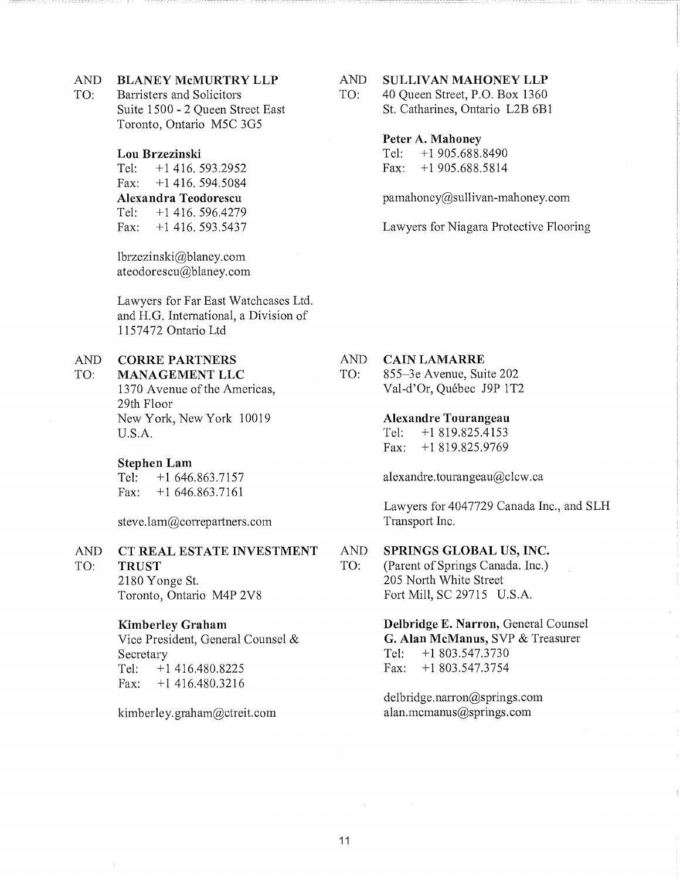#### AND BLANEY McMURTRY LLP

TO: Barristers and Solicitors Suite 1500 - 2 Queen Street East Toronto, Ontario M5C 3G5

## Lou Brzezinski

Tel: +1416.593.2952 Fax: +1416.594.5084 Alexandra Teodorescu Tel: +1 416. 596.4279 Fax: +1 416. 593.5437

lbrzezinski@blaney.corn ateodorescu@blaney.corn

Lawyers for Far East Watchcases Ltd. and H.G. International, a Division of 1157472 Ontario Ltd

#### AND CORRE PARTNERS

TO: MANAGEMENT LLC

1370 Avenue of the Americas, 29th Floor New York, New York 10019 U.S.A.

## Stephen Lam Tel: +1646.863.7157 Fax:  $+1,646,863,7161$

steve.lam@correpartners.com

#### AND CT REAL ESTATE INVESTMENT

TRUST 2180 Yonge St.

TO:

Toronto, Ontario M4P 2V8

## Kimberley Graham

Vice President, General Counsel & Secretary Tel: +1 416.480.8225 Fax: +1 416.480.3216

kimberley.graham@ctreit.com

## AND SULLIVAN MAHONEY LLP

TO: 40 Queen Street, P.O. Box 1360 St. Catharines, Ontario L2B 6B1

## Peter A. Mahoney

Tel: +1 905.688.8490 Fax: +1905.688.5814

pamahoney@sullivan-mahoney,corn

Lawyers for Niagara Protective Flooring

## AND CAIN LAMARRE

TO: 855-3e Avenue, Suite 202 Val-d'Or, Quebec J9P 1T2

## Alexandre Tourangeau

Tel: +1 819.825.4153 Fax: +1 819.825.9769

alexandre.tourangeau@cicw,ca

Lawyers for 4047729 Canada Inc., and SLH Transport Inc.

## AND SPRINGS GLOBAL US, INC.

TO: (Parent of Springs Canada, Inc.) 205 North White Street Fort Mill, SC 29715 U.S.A.

> Delbridge E. Narron, General Counsel G. Alan McManus, SVP & Treasurer Tel: +1 803.547.3730 Fax: +1 803.547.3754

delbridge.narron@springs.com alan.mcmanus@springs.com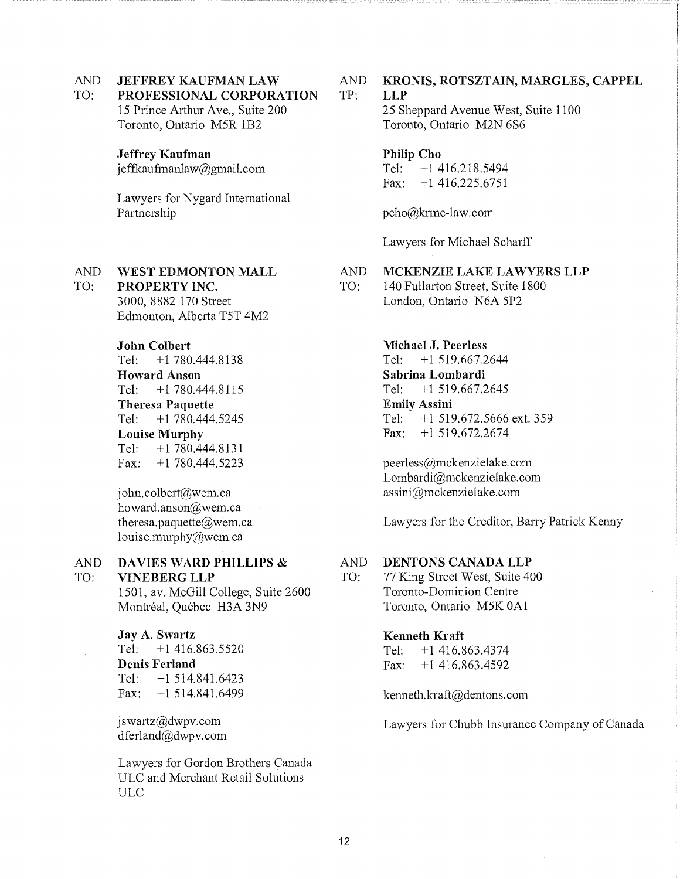TO: **PROFESSIONAL CORPORATION** TP: **LLP** 

Toronto, Ontario M5R 1B2 Toronto, Ontario M2N 6S6

## **Jeffrey Kaufman Philip Cho**

jeffkaufrnanlaw@gmail.com Tel: +1 416.218.5494

Lawyers for Nygard International Partnership pcho@krmc-law.com

### AND TO: **WEST EDMONTON MALL**

**PROPERTY INC.**  3000, 8882 170 Street Edmonton, Alberta T5T 4M2

> **John Colbert**  Tel: +1 780.444.8138 **Howard Anson**  Tel: +1 780.444.8115 **Theresa Paquette**  Tel: +1780.444.5245 **Louise Murphy**  Tel: +1 780.444.8131 Fax:  $+1$  780.444.5223

john.colbert@wem.ca howard.anson@wem.ca theresa.paquette@wem.ca louise.murphy@wem.ca

### AND TO: **DAVIES WARD PHILLIPS &**

**VINEBERG LLP** 

1501, ay. McGill College, Suite 2600 Montréal, Québec H3A 3N9

## **Jay A. Swartz**

Tel: +1 416.863.5520 **Denis Ferland**  Tel: +1 514.841.6423 Fax: +1 514.841.6499

jswartz@dwpv.com dferland@dwpv.com

Lawyers for Gordon Brothers Canada ULC and Merchant Retail Solutions ULC

AND **JEFFREY KAUFMAN LAW** AND **KRONIS, ROTSZTAIN, MARGLES, CAPPEL** 

15 Prince Arthur Ave., Suite 200 25 Sheppard Avenue West, Suite 1100

Fax: +1 416.225.6751

Lawyers for Michael Scharff

## AND **MCKENZIE LAKE LAWYERS LLP**

TO: 140 Fullarton Street, Suite 1800 London, Ontario N6A 5P2

> **Michael J. Peerless**  Tel: +1 519.667.2644 **Sabrina Lombardi**  Tel: +1 519.667.2645 **Emily Assini**  Tel: +1 519.672.5666 ext. 359 Fax: +1 519.672.2674

peerless@mckenzielake.corn Lombardi@mckenzielake.com assini@mckenzielake.com

Lawyers for the Creditor, Barry Patrick Kenny

## AND **DENTONS CANADA LLP**

TO: 77 King Street West, Suite **400**  Toronto-Dominion Centre Toronto, Ontario M5K 0A1

## **Kenneth Kraft**

Tel: +1 416.863.4374 Fax: +1 416.863.4592

kenneth.kraft@dentons.com

Lawyers for Chubb Insurance Company of Canada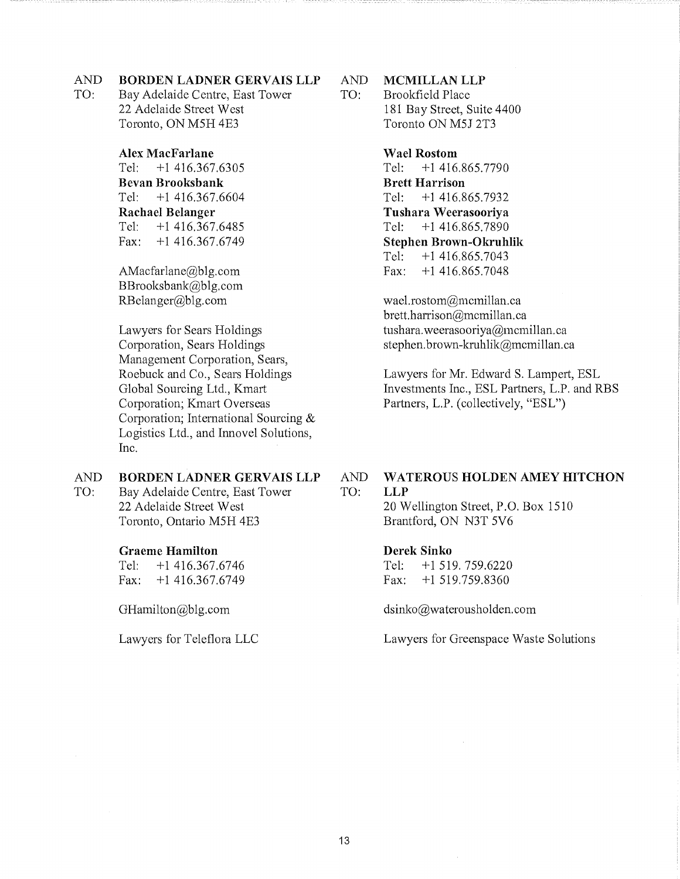## AND BORDEN LADNER GERVAIS LLP

TO: Bay Adelaide Centre, East Tower 22 Adelaide Street West Toronto, ON M5H 4E3

> Alex MacFarlane Tel: +1 416,367,6305 Bevan Brooksbank Tel: +1 416.367.6604 Rachael Belanger Tel: +1 416.367.6485 Fax: +1 416.367.6749

AMacfarlane@b1g.com BBrooksbank@b1g,com RBelanger@b1g.com

Lawyers for Sears Holdings Corporation, Sears Holdings Management Corporation, Sears, Roebuck and Co., Sears Holdings Global Sourcing Ltd., Kmart Corporation; Kmart Overseas Corporation; International Sourcing & Logistics Ltd., and Innovel Solutions, Inc.

TO: Bay Adelaide Centre, East Tower TO: LLP 22 Adelaide Street West 20 Wellington Street, P.O. Box 1510 Toronto, Ontario M5H 4E3 Brantford, ON N3T 5V6

## Graeme Hamilton Derek Sinko

Tel: +1 416.367.6746 Tel: +1 519. 759.6220 Fax: +1 416.367.6749 Fax: +1 519.759.8360

- AND MCMILLAN LLP
- TO: Brookfield Place 181 Bay Street, Suite 4400 Toronto ON M5J 2T3

Wael Rostom Tel: +1 416.865.7790 Brett Harrison Tel: +1416.865.7932 Tushara Weerasooriya Tel: +1 416.865,7890 Stephen Brown-Okruhlik Tel: +1416.865.7043 Fax: +1 416.865.7048

wael.rostom@mcmillan.ca brett.harrison@mcmillan.ca tushara.we eras ooriya@mcmillan.ca stephen.brown-kruhlik@mcmillan.ca

Lawyers for Mr. Edward S. Lampert, ESL Investments Inc., ESL Partners, L.P. and RBS Partners, L.P. (collectively, "ESL")

# AND BORDEN LADNER GERVAIS LLP AND WATEROUS HOLDEN AMEY HITCHON

GHamilton@blg.com dsinko@waterousholden.com

Lawyers for Teleflora LLC Lawyers for Greenspace Waste Solutions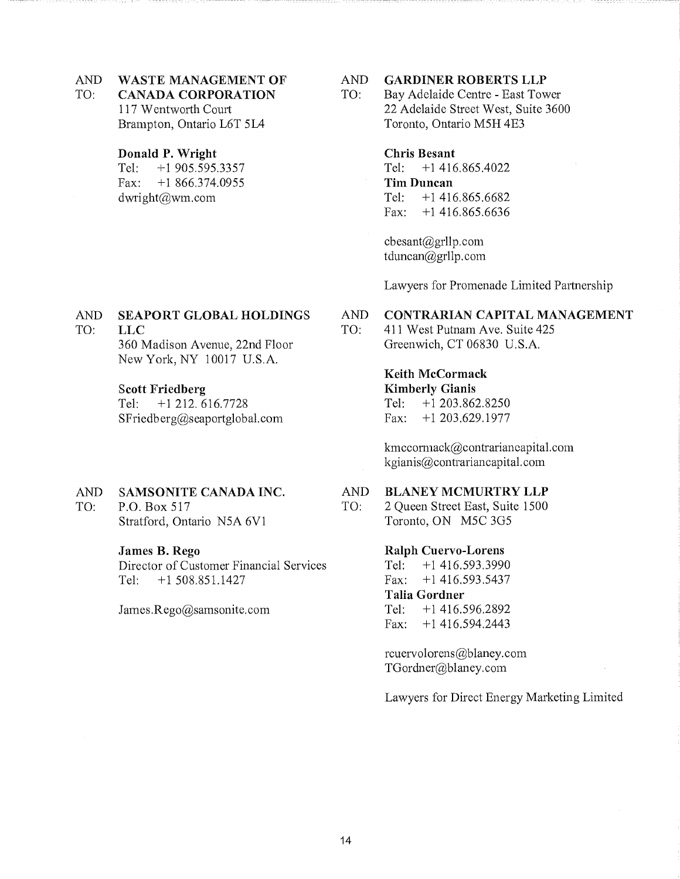## AND WASTE MANAGEMENT OF

## TO: CANADA CORPORATION

117 Wentworth Court Brampton, Ontario L6T 5L4

## Donald P. Wright

Tel: +1 905,595.3357 Fax: +1866.374.0955 dwright@wm.com

## AND GARDINER ROBERTS LLP

TO: Bay Adelaide Centre - East Tower 22 Adelaide Street West, Suite 3600 Toronto, Ontario M5H 4E3

## Chris Besant

Tel: +1416.865.4022 Tim Duncan Tel:  $+1416.865.6682$ Fax: +1 416.865.6636

cbesant@grllp.com tduncan@grllp.com

Lawyers for Promenade Limited Partnership

## AND CONTRARIAN CAPITAL MANAGEMENT

TO: 411 West Putnam Ave. Suite 425 Greenwich, CT 06830 U.S.A.

> Keith McCormack Kimberly Gianis

Tel: +1 203.862.8250 Fax: +1 203.629.1977

kmccormack@contrariancapital.com kgianis@contrariancapital.com

## AND BLANEY MCMURTRY LLP

TO: 2 Queen Street East, Suite 1500 Toronto, ON M5C 3G5

### Ralph Cuervo-Lorens

Tel: +1 416.593.3990 Fax:  $+1$  416.593.5437 Talia Gordner Tel: +1416.596.2892 Fax: +1 416.594.2443

rcuervolorens@blaney. corn TGordner@blaney.com

Lawyers for Direct Energy Marketing Limited

## AND SEAPORT GLOBAL HOLDINGS TO: LLC

360 Madison Avenue, 22nd Floor New York, NY 10017 U.S.A.

## Scott Friedberg

Tel: +1 212. 616.7728 SFriedberg@seaportglobal. corn

## AND SAMSONITE CANADA INC.

TO: P.O. Box 517 Stratford, Ontario N5A 6V1

### James B. Rego

Director of Customer Financial Services Tel: +1 508.851.1427

James.Rego@samsonite.com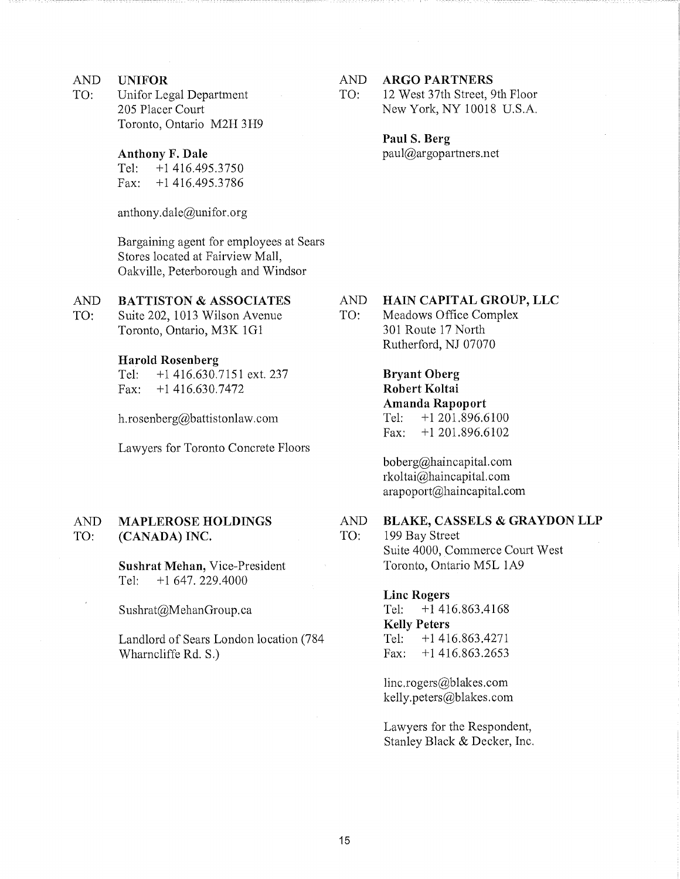#### AND UNIFOR

TO: Unifor Legal Department 205 Placer Court Toronto, Ontario M2H 3H9

## Anthony F. Dale

Tel: +1 416.495.3750 Fax: +1 416.495.3786

anthony.dale@unifor.org

Bargaining agent for employees at Sears Stores located at Fairview Mall, Oakville, Peterborough and Windsor

#### AND BATTISTON & ASSOCIATES

TO: Suite 202, 1013 Wilson Avenue Toronto, Ontario, M3K 1G1

## Harold Rosenberg

Tel: +1 416.630.7151 ext. 237 Fax: +1 416.630.7472

h.rosenberg@battistonlaw.com

Lawyers for Toronto Concrete Floors

## AND MAPLEROSE HOLDINGS AND TO: (CANADA) INC. TO:

Sushrat Mehan, Vice-President Tel: +1 647. 229.4000

Sushrat@MehanGroup. ca

Landlord of Sears London location (784 Wharncliffe Rd. S.)

## AND ARGO PARTNERS

TO: 12 West 37th Street, 9th Floor New York, NY 10018 U.S.A.

> Paul S. Berg paul@argopartners.net

### HAIN CAPITAL GROUP, LLC AND

Meadows Office Complex 301 Route 17 North Rutherford, NJ 07070 TO:

> Bryant Oberg Robert Koltai Amanda Rapoport Tel: +1 201.896.6100 Fax: +1 201.896.6102

boberg@haincapital.corn rkoltai@haincapital.com arapoport@haincapital.com

### BLAKE, CASSELS & GRAYDON LLP

199 Bay Street Suite 4000, Commerce Court West Toronto, Ontario M5L 1A9

### Line Rogers

Tel: +1 416.863,4168 Kelly Peters Tel: +1 416.863.4271 Fax: +1 416.863.2653

linc.rogers@blakes.com kelly.peters@blakes.com

Lawyers for the Respondent, Stanley Black & Decker, Inc.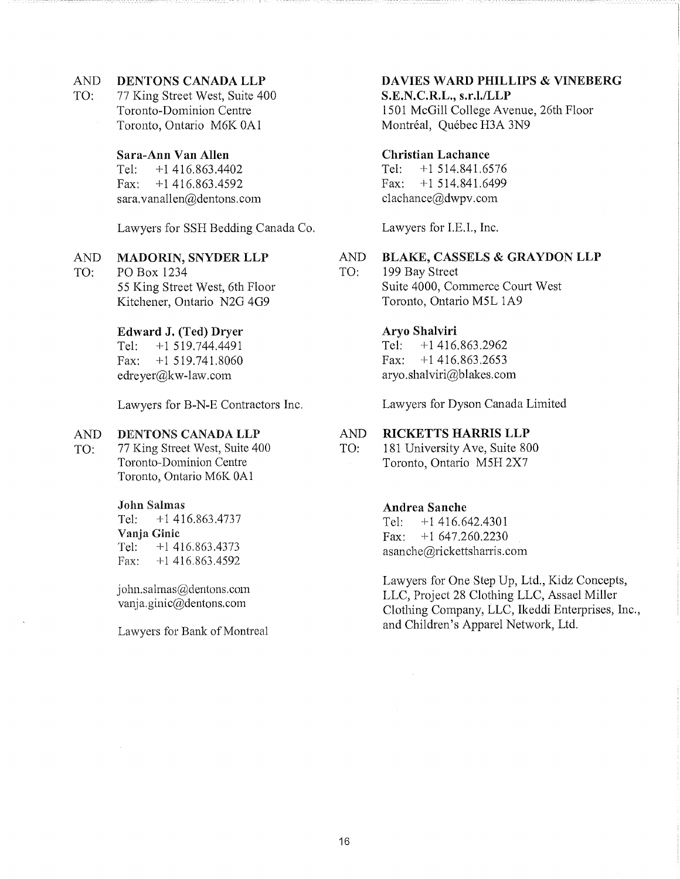## AND DENTONS CANADA LLP

TO: 77 King Street West, Suite 400 Toronto-Dominion Centre Toronto, Ontario M6K OA1

## Sara-Ann Van Allen

Tel: +1416.863.4402 Fax: +1 416.863.4592 sara.vanallen@dentons.com

Lawyers for SSH Bedding Canada Co,

## AND MADORIN, SNYDER LLP

TO: PO Box 1234 55 King Street West, 6th Floor Kitchener, Ontario N2G 4G9

## Edward J. (Ted) Dryer

Tel: +1 519.744.4491 Fax:  $+1$  519.741.8060 edreyer@kw-law.com

Lawyers for B-N-E Contractors Inc.

## AND DENTONS CANADA LLP

TO: 77 King Street West, Suite 400 Toronto-Dominion Centre Toronto, Ontario M6K 0A1

### John Salmas

Tel: +1 416.863.4737 Vanja Ginic Tel:  $+1416.863.4373$ Fax:  $+1$  416.863.4592

john.salmas@dentons.com vanja.ginic@dentons.com

Lawyers for Bank of Montreal

## DAVIES WARD PHILLIPS & VINEBERG

S.E.N.C.R.L., s.r.1./LLP 1501 McGill College Avenue, 26th Floor Montréal, Québec H3A 3N9

## Christian Lachance

Tel: +1 514.841.6576 Fax: +1 514.841.6499 clachance@dwpv.com

Lawyers for I.E.I., Inc.

### AND BLAKE, CASSELS & GRAYDON LLP

TO: 199 Bay Street Suite 4000, Commerce Court West Toronto, Ontario M5L 1A9

## Aryo Shalviri

Tel: +1 416.863.2962 Fax:  $+1$  416.863.2653 aryo.shalviri@blakes.com

Lawyers for Dyson Canada Limited

#### AND RICKETTS HARRIS LLP

TO: 181 University Ave, Suite 800 Toronto, Ontario M5H 2X7

## Andrea Sanche

Tel: +1 416.642.4301 Fax: +1 647.260.2230 asanche@rickettsharris.com

Lawyers for One Step Up, Ltd., Kidz Concepts, LLC, Project 28 Clothing LLC, Assael Miller Clothing Company, LLC, Ikeddi Enterprises, Inc., and Children's Apparel Network, Ltd.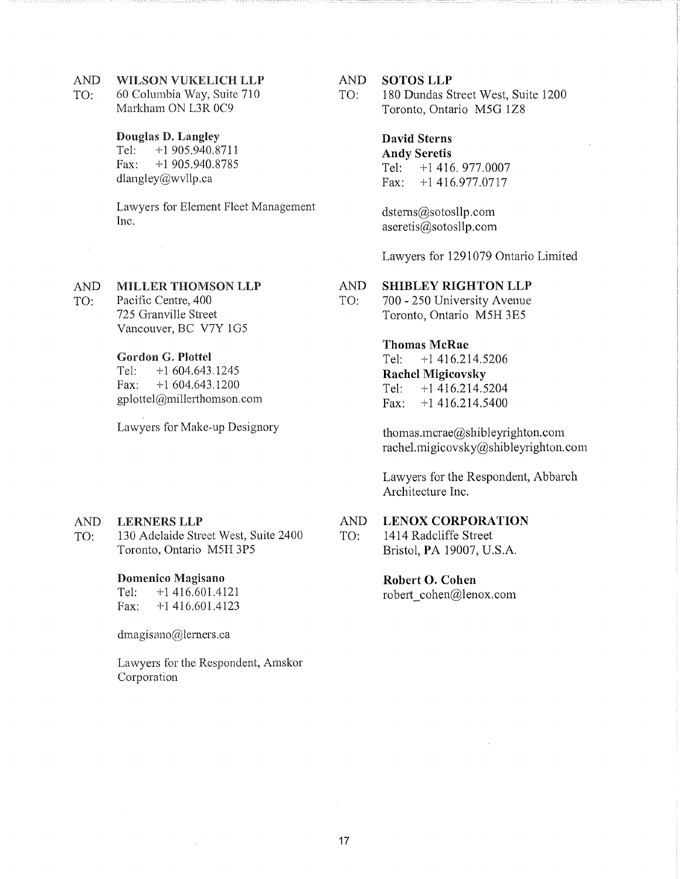## AND WILSON VUKELICH LLP

TO: 60 Columbia Way, Suite 710 Markham ON L3R 0C9

## Douglas D. Langley

Tel: +1 905.940.8711 Fax: +1 905.940.8785 dlangley@wvllp.ca

Lawyers for Element Fleet Management Inc.

## AND MILLER THOMSON LLP

TO: Pacific Centre, 400 725 Granville Street Vancouver, BC V7Y 1G5

## Gordon G. Plottel

Tel: +1 604,643.1245 Fax: +1 604.643.1200 gplottel@millerthomson.com

Lawyers for Make-up Designory

## AND SOTOS LLP

TO: 180 Dundas Street West, Suite 1200 Toronto, Ontario MSG 1Z8

## David Sterns Andy Seretis

Tel: +1 416. 977.0007 Fax: +1 416.977.0717

dsterns@sotosllp.com aseretis@sotosllp.com

Lawyers for 1291079 Ontario Limited

## AND SHIBLEY RIGHTON LLP

TO: 700 - 250 University Avenue Toronto, Ontario M5H 3E5

## Thomas McRae

Tel: +1 416.214.5206 Rachel Migicovsky Tel: +1 416.214.5204 Fax: +1 416.214.5400

thomas.mcrae@shibleyrighton.com rachel.migicovsky@shibleyrighton.com

Lawyers for the Respondent, Abbarch Architecture Inc.

## AND LERNERS LLP

TO: 130 Adelaide Street West, Suite 2400 Toronto, Ontario M5H 3P5

### Domenico Magisano

Tel: +1 416.601.4121 Fax: +1 416,601.4123

dmagisano@lemers.ca

Lawyers for the Respondent, Amskor Corporation

## AND LENOX CORPORATION

TO: 1414 Radcliffe Street Bristol, PA 19007, U.S.A.

## Robert 0. Cohen

robert cohen@lenox.com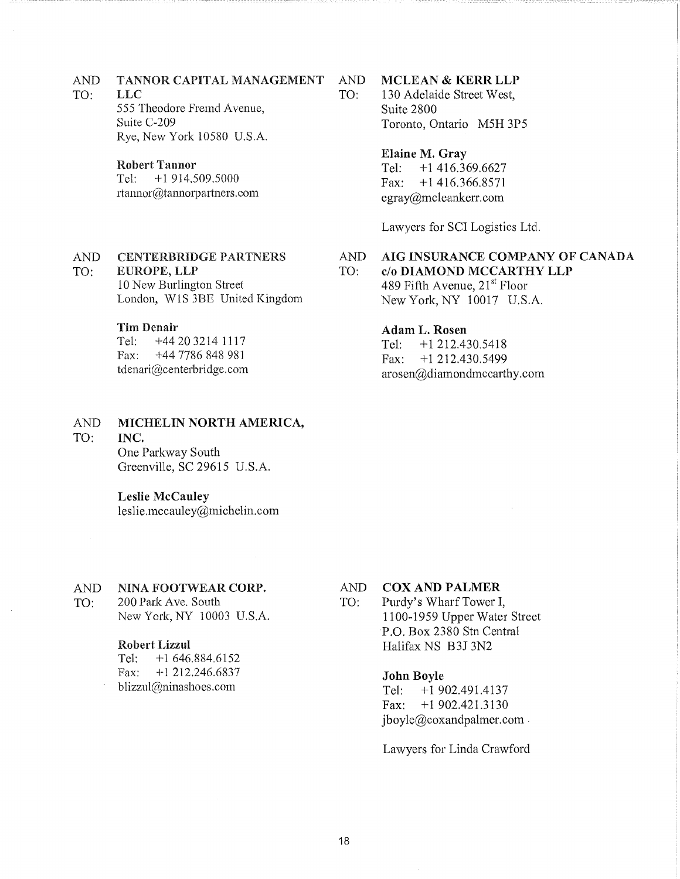#### TANNOR CAPITAL MANAGEMENT AND

#### LLC TO:

555 Theodore Fremd Avenue, Suite C-209 Rye, New York 10580 U.S.A.

Robert Tannor<br>Tel: +1 914.5 Tel: +1914.509.5000 rtannor@tannorpartners.com

### CENTERBRIDGE PARTNERS AND TO:

EUROPE, LLP 10 New Burlington Street London, W1S 3BE United Kingdom

### Tim Denair

Tel: +44 20 3214 1117 Fax: +44 7786 848 981 tdenari@centerbridge.com

## AND MICHELIN NORTH AMERICA,

### TO: INC.

One Parkway South Greenville, SC 29615 U.S.A.

### Leslie McCauley

leslie.mecauley@michelin.com

## AND NINA FOOTWEAR CORP.

TO: 200 Park Ave. South New York, NY 10003 U.S.A.

## Robert Lizzul

Tel: +1 646.884.6152 Fax: +1 212.246.6837 blizzul@ninashoes.com

#### AND MCLEAN & KERR LLP

TO: 130 Adelaide Street West, Suite 2800 Toronto, Ontario M5H 3P5

## Elaine M. Gray

Tel: +1 416.369.6627 Fax:  $+1$  416.366.8571 egray@mcleankerr.com

Lawyers for SCI Logistics Ltd.

#### AND AIG INSURANCE COMPANY OF CANADA

TO: c/o DIAMOND MCCARTHY LLP 489 Fifth Avenue,  $21<sup>st</sup>$  Floor New York, NY 10017 U.S.A.

## Adam L. Rosen

Tel: +1 212.430.5418 Fax: +1 212.430.5499 arosen@diamondmccarthy.com

#### AND COX AND PALMER

TO; Purdy's Wharf Tower I, 1100-1959 Upper Water Street P.O. Box 2380 Stn Central Halifax NS B3J 3N2

### John Boyle

Tel: +1 902.491.4137 Fax: +1 902.421.3130 jboyle@coxandpalmer.com

Lawyers for Linda Crawford

18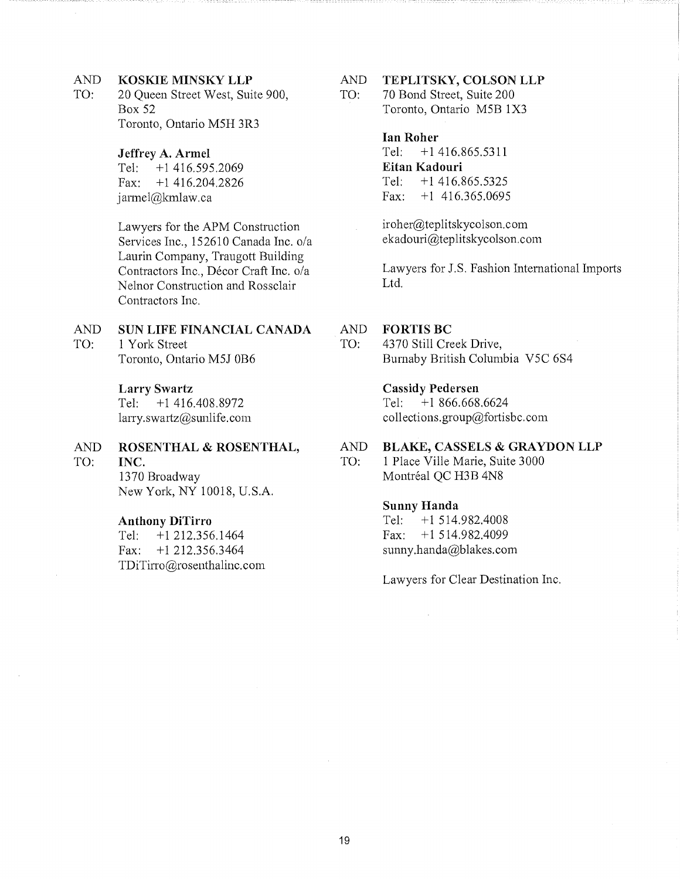## AND KOSKIE MINSKY LLP

TO: 20 Queen Street West, Suite 900, Box 52 Toronto, Ontario M5H 3R3

## Jeffrey A. Armel

Tel: +1 416.595.2069 Fax: +1 416.204.2826 jarmel@kmlaw.ca

Lawyers for the APM Construction Services Inc., 152610 Canada Inc. o/a Laurin Company, Traugott Building Contractors Inc., Décor Craft Inc. o/a Nelnor Construction and Rossclair Contractors Inc.

## AND SUN LIFE FINANCIAL CANADA TO: 1 York Street

Toronto, Ontario M5J 0B6

## Larry Swartz

Tel: +1 416,408.8972 larry,swartz@sunlife.com

## AND ROSENTHAL & ROSENTHAL, TO: INC.

1370 Broadway New York, NY 10018, U.S.A.

## Anthony DiTirro

Tel: +1 212.356.1464 Fax: +1 212.356.3464 TDiTirro@rosenthalinc.com

## AND TEPLITSKY, COLSON LLP

TO: 70 Bond Street, Suite 200 Toronto, Ontario M5B 1X3

## Ian Roher

Tel: +1416.865.5311 Eitan Kadouri Tel: +1 416.865.5325 Fax: +1 416.365.0695

iroher@teplitskycolson.com ekadouri@teplitskycolson.com

Lawyers for J.S. Fashion International Imports Ltd.

## AND FORTIS BC

TO: 4370 Still Creek Drive, Burnaby British Columbia V5C 6S4

## Cassidy Pedersen

Tel: +1 866.668.6624 collections.group@fortisbc.com

## AND BLAKE, CASSELS & GRAYDON LLP

TO: 1 Place Ville Marie, Suite 3000 Montréal QC H3B 4N8

### Sunny Handa

Tel: +1 514.982.4008 Fax: +1 514.982.4099 sunny.handa@blakes.com

Lawyers for Clear Destination Inc.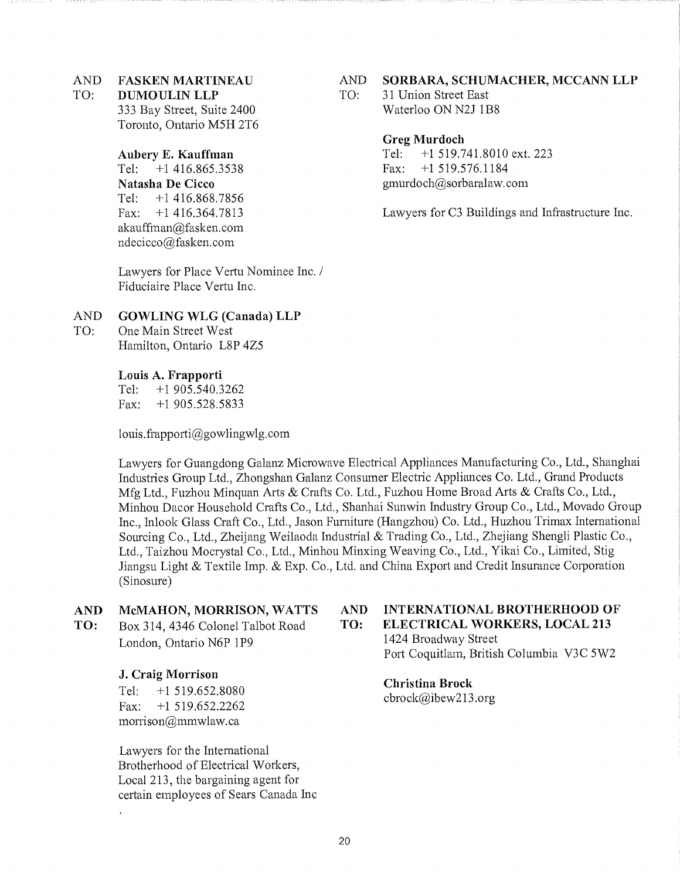Toronto, Ontario M5H 2T6

## Aubery E. Kauffman

Tel: +1 416,865.3538 Natasha De Cicco Tel: +1 416.868.7856 Fax: +1416.364.7813 akauffman@fasken.com ndecicco@fasken.com

Lawyers for Place Vertu Nominee Inc. / Fiduciaire Place Vertu Inc.

#### AND GOWLING WLG (Canada) LLP

TO: One Main Street West Hamilton, Ontario L8P 4Z5

## Louis A. Frapporti

Tel: +1 905,540.3262 Fax: +1 905.528.5833

louis.fiapporti@gowlingw1g.com

Lawyers for Guangdong Galanz Microwave Electrical Appliances Manufacturing Co,, Ltd., Shanghai Industries Group Ltd., Zhongshan Galanz Consumer Electric Appliances Co. Ltd., Grand Products Mfg Ltd., Fuzhou Minquan Arts & Crafts Co. Ltd., Fuzhou Home Broad Arts *&* Crafts Co., Ltd., Minhou Dacor Household Crafts Co., Ltd., Shanhai Sunwin Industry Group Co., Ltd., Movado Group Inc., Inlook Glass Craft Co., Ltd., Jason Furniture (Hangzhou) Co. Ltd., Huzhou Trimax International Sourcing Co., Ltd., Zheijang Weilaoda Industrial & Trading Co., Ltd., Zhejiang Shengli Plastic Co., Ltd., Taizhou Mocrystal Co., Ltd., Minhou Minxing Weaving Co., Ltd., Yikai Co., Limited, Stig Jiangsu Light & Textile Imp. & Exp. Co., Ltd. and China Export and Credit Insurance Corporation (Sinosure)

### AND McMAHON, MORRISON, WATTS

TO: Box 314, 4346 Colonel Talbot Road London, Ontario N6P 1P9

## J. Craig Morrison

Tel: +1519.652.8080 Fax: +1 519.652.2262 morrison@mmwlaw.ca

Lawyers for the International Brotherhood of Electrical Workers, Local 213, the bargaining agent for certain employees of Sears Canada Inc

## AND FASKEN MARTINEAU AND SORBARA, SCHUMACHER, MCCANN LLP

TO: DUMOULIN LLP TO: 31 Union Street East 333 Bay Street, Suite 2400 Waterloo ON N2J 1B8

## Greg Murdoch

Tel: +1 519.741.8010 ext. 223 Fax: +1519.576.1184 gmurdoch@sorbaralaw.corn

Lawyers for C3 Buildings and Infrastructure Inc.

AND INTERNATIONAL BROTHERHOOD OF

## TO: ELECTRICAL WORKERS, LOCAL 213 1424 Broadway Street

Port Coquitlam, British Columbia V3C 5W2

Christina Brock cbrock@ibew213.org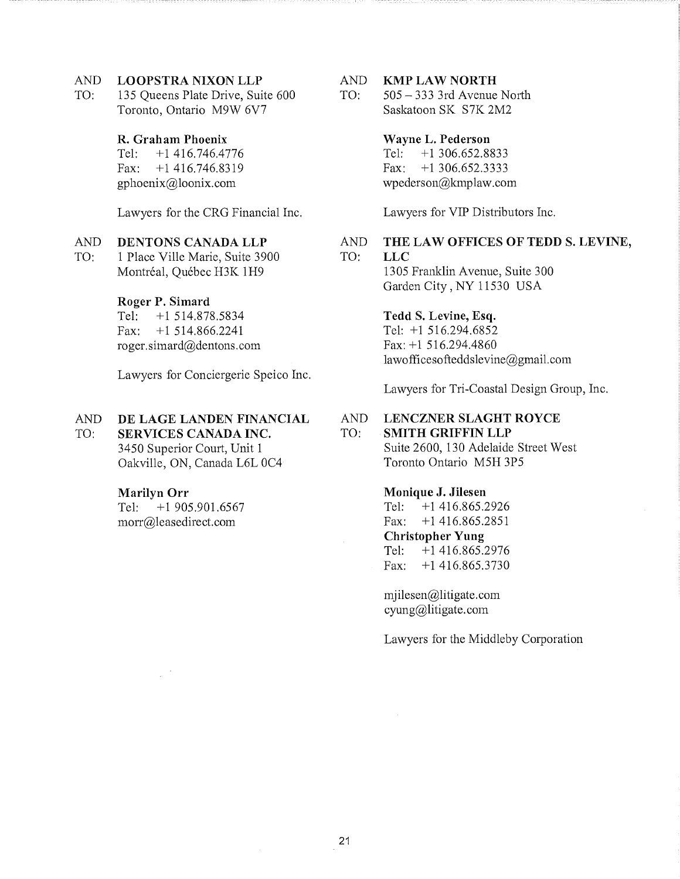## AND LOOPSTRA NIXON LLP

TO: 135 Queens Plate Drive, Suite 600 Toronto, Ontario M9W 6V7

## R. Graham Phoenix

Tel: +1 416.746.4776 Fax:  $+1$  416.746.8319 gphoenix@loonix.corn

Lawyers for the CRG Financial Inc.

### AND DENTONS CANADA LLP

TO: 1 Place Ville Marie, Suite 3900 Montréal, Québec H3K 1H9

## Roger P. Simard

Tel: +1514.878.5834 Fax: +1 514.866.2241 roger.simard@dentons.com

Lawyers for Conciergerie Speico Inc.

## AND DE LAGE LANDEN FINANCIAL

TO: SERVICES CANADA INC. 3450 Superior Court, Unit 1 Oakville, ON, Canada L6L 0C4

### Marilyn Orr

Tel: +1905.901.6567 morr@leasedirect.com

## AND KMP LAW NORTH

TO: 505 — 333 3rd Avenue North Saskatoon SK S7K 2M2

### Wayne L. Pederson

Tel: +1306.652.8833 Fax:  $+1$  306.652.3333 wpederson@kmplaw.com

Lawyers for VIP Distributors Inc.

## AND THE LAW OFFICES OF TEDD S. LEVINE, TO: LLC

1305 Franklin Avenue, Suite 300 Garden City , NY 11530 USA

Tedd S. Levine, Esq. Tel: +1 516.294.6852 Fax: +1 516.294.4860 lawofficesofteddslevine@gmail.com

Lawyers for Tri-Coastal Design Group, Inc.

## AND LENCZNER SLAGHT ROYCE

TO: SMITH GRIFFIN LLP Suite 2600, 130 Adelaide Street West Toronto Ontario M5H 3P5

## Monique J. Jilesen

Tel: +1 416.865.2926 Fax:  $+1$  416.865.2851 Christopher Yung Tel: +1 416.865.2976 Fax: +1 416.865.3730

mjilesen@litigate.com cyung@litigate.com

Lawyers for the Middleby Corporation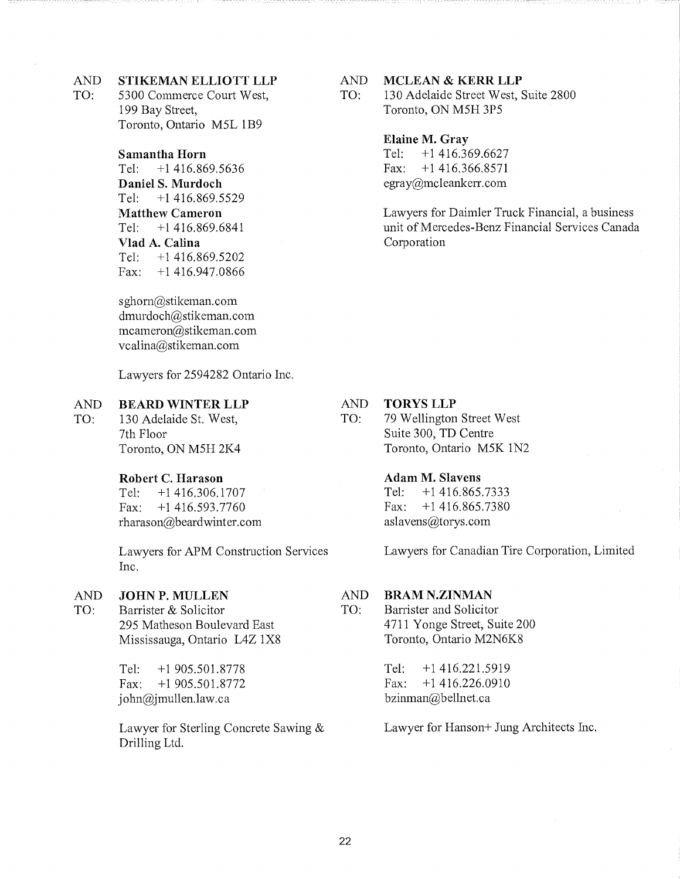## AND STIKEMAN ELLIOTT LLP

TO: 5300 Commerce Court West, 199 Bay Street, Toronto, Ontario M5L 1B9

## Samantha Horn

Tel: +1416.869.5636 Daniel S. Murdoch Tel: +1416.869.5529 Matthew Cameron Tel: +1 416.869.6841 Vlad A. Calina Tel: +1416.869.5202 Fax: +1416.947.0866

sghorn@stikeman.com dmurdoch@stikeman,com mcameron@stikeman, corn vcalina@stikeman.com

Lawyers for 2594282 Ontario Inc.

#### BEARD WINTER LLP AND

130 Adelaide St. West, 7th Floor Toronto, ON M5H 2K4 TO:

## Robert C. Harason

Tel: +1416.306.1707 Fax: +1 416.593.7760 rharason@beardwinter.com

Lawyers for APM Construction Services Inc.

#### JOHN P. MULLEN AND

Barrister & Solicitor 295 Matheson Boulevard East Mississauga, Ontario L4Z 1X8 TO:

> Fax: +1 905.501.8772 Fax: +1 416.226.0910 john@jmullen.law.ca bzinman@bellnet.ca

Lawyer for Sterling Concrete Sawing & Lawyer for Hanson+ Jung Architects Inc. Drilling Ltd,

#### AND MCLEAN & KERR LLP

TO: 130 Adelaide Street West, Suite 2800 Toronto, ON M5H 3P5

### Elaine M. Gray

Tel: +1 416.369.6627 Fax:  $+1$  416.366.8571 egray@mcleankerr.com

Lawyers for Daimler Truck Financial, a business unit of Mercedes-Benz Financial Services Canada Corporation

#### AND TORYS LLP

- TO: 79 Wellington Street West Suite 300, TD Centre Toronto, Ontario M5K 1N2
	- Adam M. Slavens Tel: +1 416.865,7333 Fax: +1 416.865.7380 aslavens@torys.corn

Lawyers for Canadian Tire Corporation, Limited

#### AND BRAM N.ZINMAN

TO: Barrister and Solicitor 4711 Yonge Street, Suite 200 Toronto, Ontario M2N6K8

Tel: +1 905,501.8778 Tel: +1 416.221.5919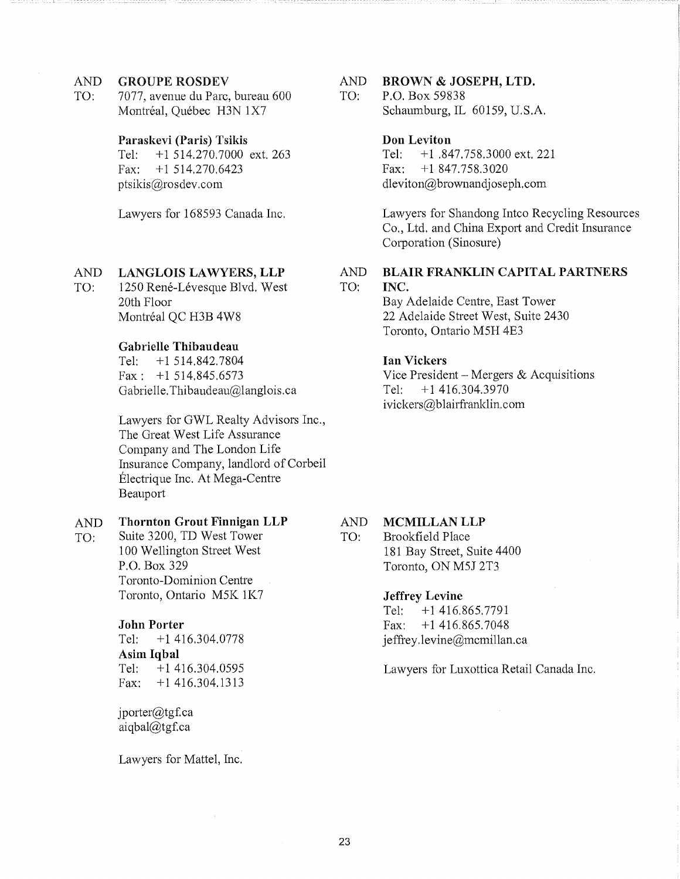## AND GROUPE ROSDEV

TO: 7077, avenue du Parc, bureau 600 Montréal, Québec H3N 1X7

## Paraskevi (Paris) Tsikis

Tel: +1 514.270.7000 ext. 263 Fax:  $+1$  514,270,6423 ptsikis@rosdev.com

Lawyers for 168593 Canada Inc.

## AND LANGLOIS LAWYERS, LLP

TO: 1250 René-Lévesque Blvd. West 20th Floor Montréal QC H3B 4W8

## Gabrielle Thibaudeau

Tel: +1 514.842.7804 Fax :  $+1$  514,845,6573 Gabrielle.Thibaudeau@langlois.ca

Lawyers for GWL Realty Advisors Inc., The Great West Life Assurance Company and The London Life Insurance Company, landlord of Corbeil Electrique Inc. At Mega-Centre Beauport

#### AND Thornton Grout Finnigan LLP

TO: Suite 3200, TD West Tower 100 Wellington Street West P.O. Box 329 Toronto-Dominion Centre Toronto, Ontario M5K

## John Porter

Tel: +1416.304.0778 Asim Iqbal Tel: +1416.304.0595 Fax: +1 416.304.1313

jporter@tgf.ca aiqbal@tgf.ca

Lawyers for Mattel, Inc.

## AND BROWN & JOSEPH, LTD.

TO: P.O. Box 59838 Schaumburg, IL 60159, U.S.A.

### Don Leviton

Tel: +1 .847,758.3000 ext. 221 Fax: +1 847.758.3020 dleviton@brownandjoseph.com

Lawyers for Shandong Intco Recycling Resources Co., Ltd. and China Export and Credit Insurance Corporation (Sinosure)

## AND BLAIR FRANKLIN CAPITAL PARTNERS TO: INC.

Bay Adelaide Centre, East Tower 22 Adelaide Street West, Suite 2430 Toronto, Ontario M5H 4E3

## Ian Vickers

Vice President – Mergers  $&$  Acquisitions Tel: +1 416.304.3970 ivickers@blairfranklin.com

### AND MCMILLAN LLP

TO: Brookfield Place 181 Bay Street, Suite 4400 Toronto, ON M5J 2T3

## Jeffrey Levine

Tel: +1 416.865.7791 Fax: +1 416.865.7048 jeffrey.levine@mcmillan.ca

Lawyers for Luxottica Retail Canada Inc.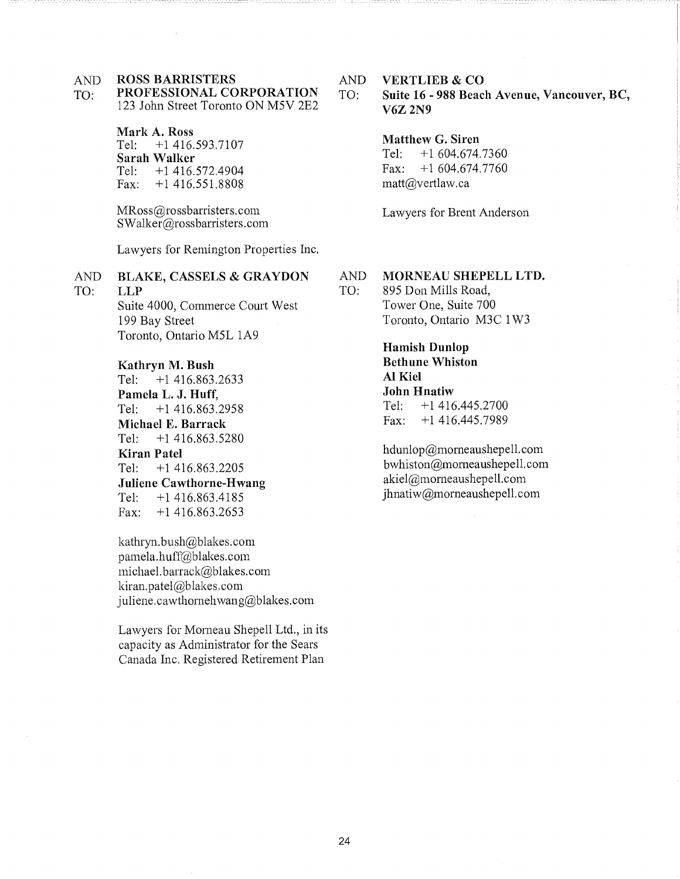#### ROSS BARRISTERS AND

### PROFESSIONAL CORPORATION 123 John Street Toronto ON M5V 2E2 TO:

### Mark A, Ross

Tel: +1416.593.7107 Sarah Walker<br>Tel:  $+1416$ . Tel: +1 416.572.4904 Fax: +1 416.551.8808

MRoss@rossbarristers.com SWalker@rossbarristers.com

Lawyers for Remington Properties Inc.

#### BLAKE, CASSELS & GRAYDON AND

LLP Suite 4000, Commerce Court West 199 Bay Street Toronto, Ontario M5L 1A9

### Kathryn M. Bush

TO:

Tel: +1 416.863.2633 Pamela L. J. Huff, Tel: +1 416.863.2958 Michael E. Barrack Tel:  $+1$  416,863,5280 Kiran Patel Tel: +1416.863.2205 Juliene Cawthorne-Hwang Tel: +1 416.863.4185 Fax:  $+1$  416,863,2653

kathryn.bush@blakes.com pamela.huff@blakes.com michael.barrack@blakes.com kirampatel@blakes.com juliene.cawthomehwang@blakes.com

Lawyers for Morneau Shepell Ltd., in its capacity as Administrator for the Sears Canada Inc. Registered Retirement Plan

## AND VERTLIEB & CO

## TO: Suite 16 - 988 Beach Avenue, Vancouver, BC, V6Z 2N9

Matthew G. Siren Tel: +1 604.674.7360 Fax:  $+1,604.674.7760$ matt@vertlaw.ca

Lawyers for Brent Anderson

### AND MORNEAU SHEPELL LTD.

TO: 895 Don Mills Road, Tower One, Suite 700 Toronto, Ontario M3C 1W3

> Hamish Dunlop Bethune Whiston Al Kiel John Hnatiw Tel: +1416.445.2700 Fax: +1 416.445.7989

hdunlop@morneaushepell.com bwhiston@morneaushepell.com akiel@morneaushepell.com jhnatiw@morneaushepell.com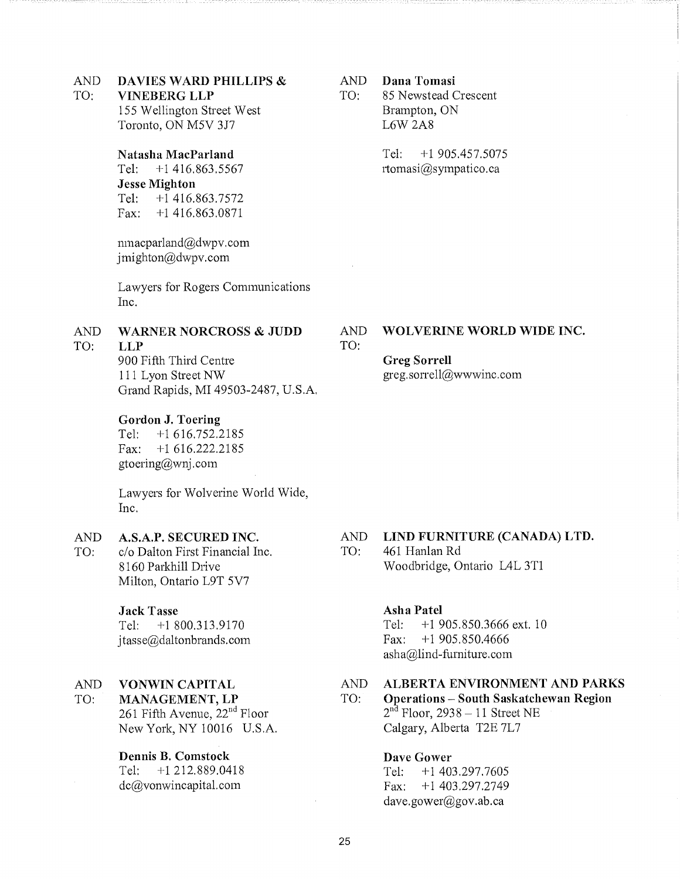## AND DAVIES WARD PHILLIPS &

## TO: VINEBERG LLP

155 Wellington Street West Toronto, ON M5V 3J7

## Natasha MacParland

Tel: +1 416,863.5567 Jesse Mighton Tel: +1 416.863.7572 Fax: +1 416.863.0871

nmacparland@dwpv.com jmighton@dwpv.com

Lawyers for Rogers Communications Inc.

## AND WARNER NORCROSS & JUDD

## TO: LLP

900 Fifth Third Centre 111 Lyon Street NW Grand Rapids, MI 49503-2487, U.S.A.

## Gordon J. Toering

Tel: +1 616.752.2185 Fax: +1 616.222.2185 gtoering@wnj.com

Lawyers for Wolverine World Wide, Inc.

## AND A.S.A.P. SECURED INC.

TO: c/o Dalton First Financial Inc. 8160 Parkhill Drive Milton, Ontario L9T 5V7

## Jack Tasse

Tel: +1800.313.9170 jtasse@daltonbrands.com

## AND VONWIN CAPITAL

TO: MANAGEMENT, LP 261 Fifth Avenue, 22" Floor New York, NY 10016 U.S.A.

### Dennis B. Comstock

Tel: +1 212.889.0418 dc@vonwincapital.com

## AND Dana Tomasi

TO: 85 Newstead Crescent Brampton, ON L6W 2A8

> Tel: +1 905.457.5075 rtomasi@sympatico.ca

## AND WOLVERINE WORLD WIDE INC. TO:

## Greg Sorrell

greg.sorrell@wwwinc.com

## AND LIND FURNITURE (CANADA) LTD.

TO: 461 Hanlan Rd Woodbridge, Ontario L4L 3T1

### Asha Patel

Tel: +1 905.850.3666 ext. 10 Fax: +1 905.850.4666 asha@lind-furniture.com

### AND ALBERTA ENVIRONMENT AND PARKS

## TO: Operations — South Saskatchewan Region  $2<sup>nd</sup>$  Floor, 2938 – 11 Street NE Calgary, Alberta T2E 7L7

### Dave Gower

Tel: +1 403.297.7605 Fax: +1 403.297.2749 dave.gower@gov ,ab.ca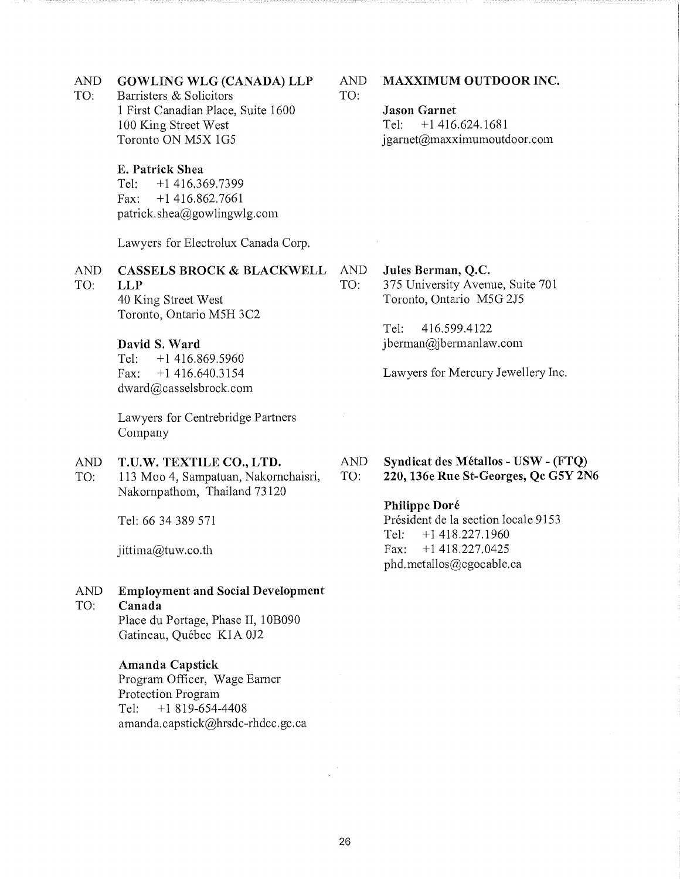### AND GOWLING WLG (CANADA) LLP

TO: Barristers & Solicitors 1 First Canadian Place, Suite 1600 100 King Street West Toronto ON M5X 1G5

### E. Patrick Shea

Tel: +1416.369.7399 Fax:  $+1$  416.862.7661 patrick.shea@gowlingwlg.com

Lawyers for Electrolux Canada Corp.

|         | AND CASSELS BROCK & BLACKWELL | $\overline{\phantom{a}}$ |
|---------|-------------------------------|--------------------------|
| TO: LLP |                               |                          |
|         | 40 King Street West           |                          |

Toronto, Ontario M5H 3C2

## David S. Ward

Tel:  $+1416.869.5960$ Fax: +1 416.640.3154 dward@casselsbrock.com

Lawyers for Centrebridge Partners Company

#### AND T.U.W. TEXTILE CO., LTD.

TO: 113 Moo 4, Sampatuan, Nakornchaisri, Nakornpathom, Thailand 73120

Tel: 66 34 389 571

jittima@tuw.co.th

#### AND Employment and Social Development

#### TO: Canada

Place du Portage, Phase II, 10B090 Gatineau, Quebec K1A 0J2

### Amanda Capstick

Program Officer, Wage Earner Protection Program Tel: +1 819-654-4408 amanda.capstick@hrsdc-rhdcc.gc.ca AND MAXXIMUM OUTDOOR INC. TO:

> Jason Garnet Tel: +1 416.624.1681 jgarnet@maxximumoutdoor,com

## AND Jules Berman, Q.C.

TO: 375 University Avenue, Suite 701 Toronto, Ontario M5G 2J5

> Tel: 416.599.4122 jberrnan@jbermanlaw.com

Lawyers for Mercury Jewellery Inc.

## AND Syndicat des Metallos - USW - (FTQ)

TO: 220, 136e Rue St-Georges, Qc G5Y 2N6

### Philippe Doré

Président de la section locale 9153 Tel: +1 418.227.1960 Fax: +1 418.227.0425 phd.metallos@cgocable.ca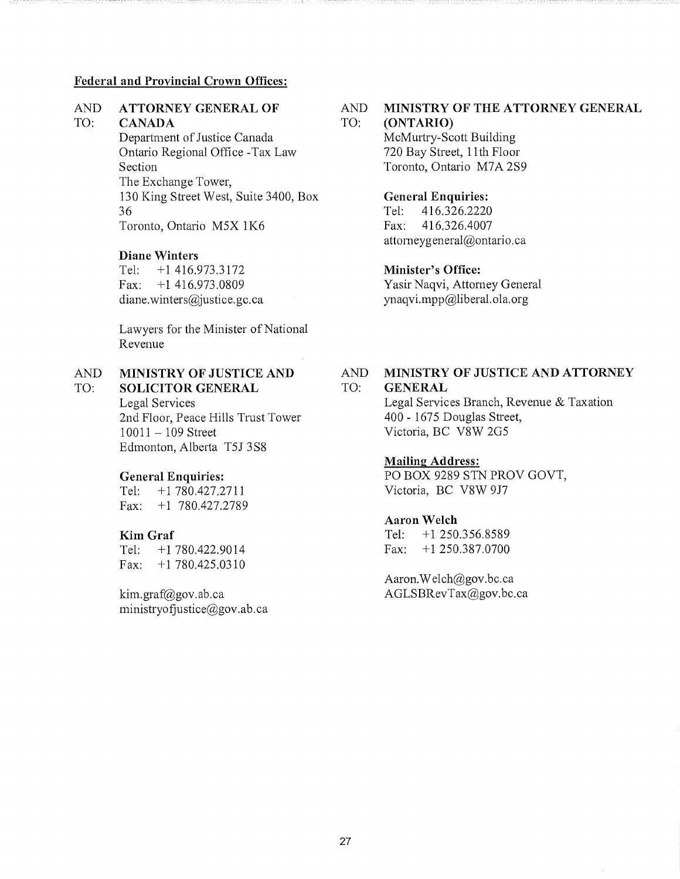## Federal and Provincial Crown Offices:

#### ATTORNEY GENERAL OF AND

#### CANADA TO:

Department of Justice Canada Ontario Regional Office -Tax Law Section The Exchange Tower, 130 King Street West, Suite 3400, Box 36 Toronto, Ontario M5X 1K6

### Diane Winters

Tel: +1 416.973.3172 Fax: +1 416.973.0809 diane.winters@justice.gc.ca

Lawyers for the Minister of National Revenue

#### MINISTRY OF JUSTICE AND SOLICITOR GENERAL AND TO:

Legal Services 2nd Floor, Peace Hills Trust Tower 10011 — 109 Street Edmonton, Alberta T5J 3S8

## General Enquiries:

Tel: +1780,427,2711 Fax: +1 780.427.2789

### Kim Graf

Tel: +1 780.422.9014 Fax:  $+1$  780.425.0310

kim.graf@gov.ab.ca ministryofiustice@gov.ab.ca

#### AND TO: MINISTRY OF THE ATTORNEY GENERAL (ONTARIO)

McMurtry-Scott Building 720 Bay Street, 11th Floor Toronto, Ontario M7A 2S9

## General Enquiries:

Tel: 416.326.2220 Fax: 416.326.4007 attomeygeneral@ontario.ca

## Minister's Office:

Yasir Naqvi, Attorney General ynaqvi.mpp@liberal.ola.org

#### AND TO: MINISTRY OF JUSTICE AND ATTORNEY **GENERAL**

Legal Services Branch, Revenue & Taxation 400 - 1675 Douglas Street, Victoria, BC V8W 2G5

## Mailing Address:

PO BOX 9289 STN PROV GOVT, Victoria, BC V8W 9J7

## Aaron Welch

Tel: +1 250.356.8589 Fax: +1 250.387.0700

Aaron.Welch@gov.bc.ca AGLSBRevTax@gov.bc.ca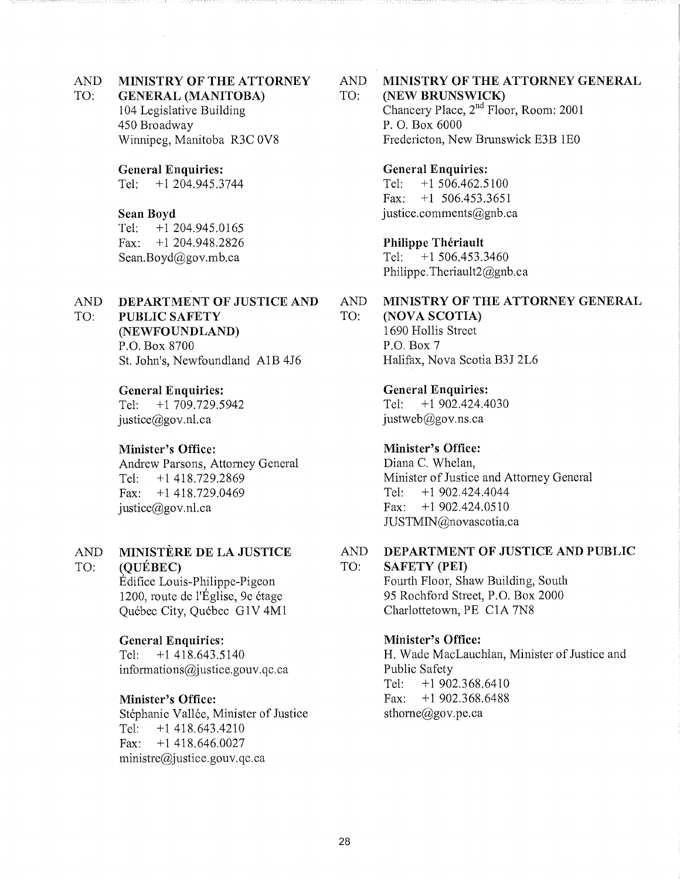### MINISTRY OF THE ATTORNEY AND TO:

GENERAL (MANITOBA)

104 Legislative Building 450 Broadway Winnipeg, Manitoba R3C OV8

## General Enquiries:

Tel: +1 204.945.3744

## Sean Boyd

Tel: +1 204.945.0165 Fax: +1 204.948.2826 Sean.Boyd@gov.mb.ca

### DEPARTMENT OF JUSTICE AND AND TO:

## PUBLIC SAFETY

(NEWFOUNDLAND) P.O. Box 8700

St. John's, Newfoundland A1B 4J6

## General Enquiries:

Tel: +1 709.729.5942 justice@gov.nl.ca

## Minister's Office:

Andrew Parsons, Attorney General Tel: +1418.729.2869 Fax: +1 418.729.0469 justice@gov.nl.ca

### MINISTÈRE DE LA JUSTICE AND

#### (QUEBEC) TO:

Edifice Louis-Philippe-Pigeon 1200, route de l'Eglise, 9e etage Quebec City, Quebec G1V 4M1

## General Enquiries:

Tel: +1 418.643.5140 informations@justice.gouv.qc.ca

## Minister's Office:

Stéphanie Vallée, Minister of Justice Tel: +1 418.643.4210 Fax: +1418.646.0027 ministre@justice.gouv.qc.ca

### AND MINISTRY OF THE ATTORNEY GENERAL

#### TO: (NEW BRUNSWICK)

Chancery Place,  $2<sup>nd</sup>$  Floor, Room: 2001 P. 0. Box 6000 Fredericton, New Brunswick E3B 1E0

## General Enquiries:

Tel: +1 506.462.5100 Fax: +1 506.453.3651 justice.comments@gnb.ca

## Philippe Thériault

Tel: +1 506.453.3460 Philippe.Theriault2@gnb.ca

#### AND TO: MINISTRY OF THE ATTORNEY GENERAL (NOVA SCOTIA)

1690 Hollis Street P.O. Box 7 Halifax, Nova Scotia B3J 2L6

## General Enquiries:

Tel: +1 902.424.4030 justweb@gov.ns.ca

## Minister's Office:

Diana C. Whelan, Minister of Justice and Attorney General Tel: +1 902.424.4044 Fax: +1902.424.0510 JUSTMIN@novascotia.ca

### AND TO: DEPARTMENT OF JUSTICE AND PUBLIC

SAFETY (PEI)

Fourth Floor, Shaw Building, South 95 Rochford Street, P.O. Box 2000 Charlottetown, PE CIA 7N8

## Minister's Office:

H. Wade MacLauchlan, Minister of Justice and Public Safety Tel: +1 902.368.6410 Fax: +1 902.368.6488 sthorne@gov.pe.ca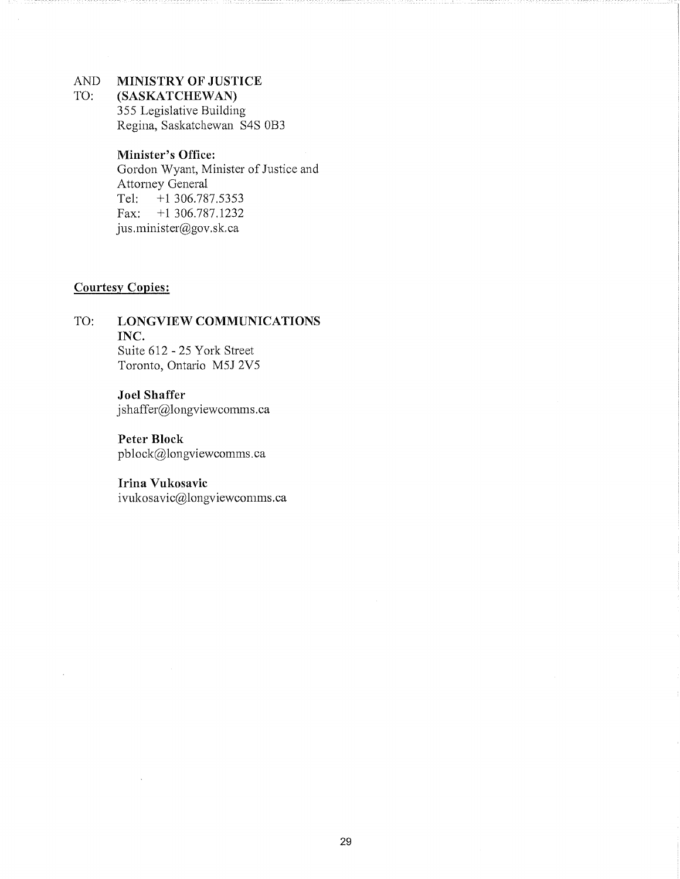# AND MINISTRY OF JUSTICE<br>TO: (SASKATCHEWAN)

(SASKATCHEWAN) 355 Legislative Building Regina, Saskatchewan S4S 0B3

## Minister's Office:

Gordon Wyant, Minister of Justice and Attorney General Tel: +1306.787.5353 Fax: +1 306.787.1232 jus.minister@gov.sk.ca

## Courtesy Copies:

TO: LONGVIEW COMMUNICATIONS INC. Suite 612 - 25 York Street Toronto, Ontario M5J 2V5

> Joel Shaffer jshaffer@longviewcomms.ca

Peter Block pblock@longviewcomms.ca

## Irina Vukosavic

ivukosavic@longviewcomms.ca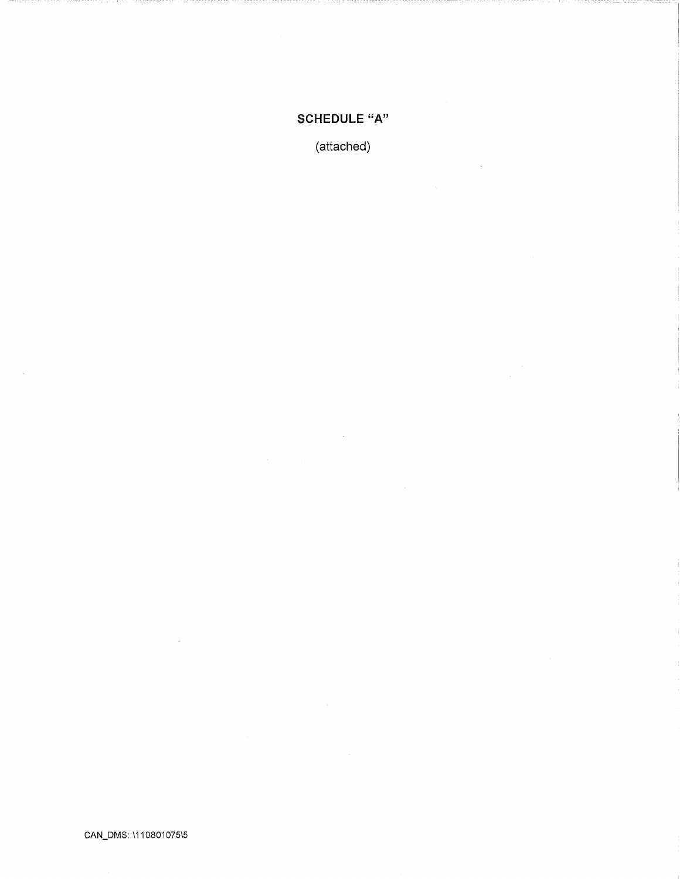## **SCHEDULE "A"**

(attached)

 $\sim$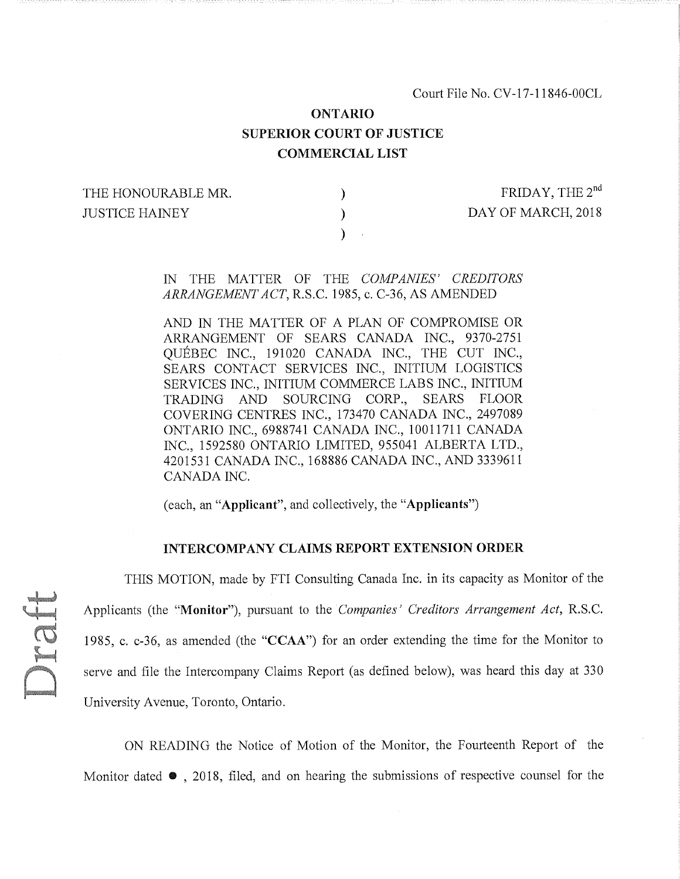## ONTARIO SUPERIOR COURT OF JUSTICE COMMERCIAL LIST

JUSTICE HAINEY (2018) DAY OF MARCH, 2018

Draft

THE HONOURABLE MR.  $\qquad \qquad$  ) FRIDAY, THE 2<sup>nd</sup>

IN THE MATTER OF THE *COMPANIES' CREDITORS ARRANGEMENT ACT,* R.S.C. 1985, c. C-36, AS AMENDED

 $\mathcal{E}$ 

AND IN THE MATTER OF A PLAN OF COMPROMISE OR ARRANGEMENT OF SEARS CANADA INC., 9370-2751 QUEBEC INC., 191020 CANADA INC., THE CUT INC., SEARS CONTACT SERVICES INC., INITIUM LOGISTICS SERVICES INC., INITIUM COMMERCE LABS INC., INITIUM TRADING AND SOURCING CORP., SEARS FLOOR COVERING CENTRES INC., 173470 CANADA INC., 2497089 ONTARIO INC., 6988741 CANADA INC., 10011711 CANADA INC., 1592580 ONTARIO LIMITED, 955041 ALBERTA LTD., 4201531 CANADA INC., 168886 CANADA INC., AND 3339611 CANADA INC.

(each, an "Applicant", and collectively, the "Applicants")

## INTERCOMPANY CLAIMS REPORT EXTENSION ORDER

THIS MOTION, made by FTI Consulting Canada Inc. in its capacity as Monitor of the Applicants (the "Monitor"), pursuant to the *Companies' Creditors Arrangement Act,* R.S.C. 1985, c. c-36, as amended (the "CCAA") for an order extending the time for the Monitor to serve and file the Intercompany Claims Report (as defined below), was heard this day at 330 University Avenue, Toronto, Ontario.

ON READING the Notice of Motion of the Monitor, the Fourteenth Report of the Monitor dated  $\bullet$ , 2018, filed, and on hearing the submissions of respective counsel for the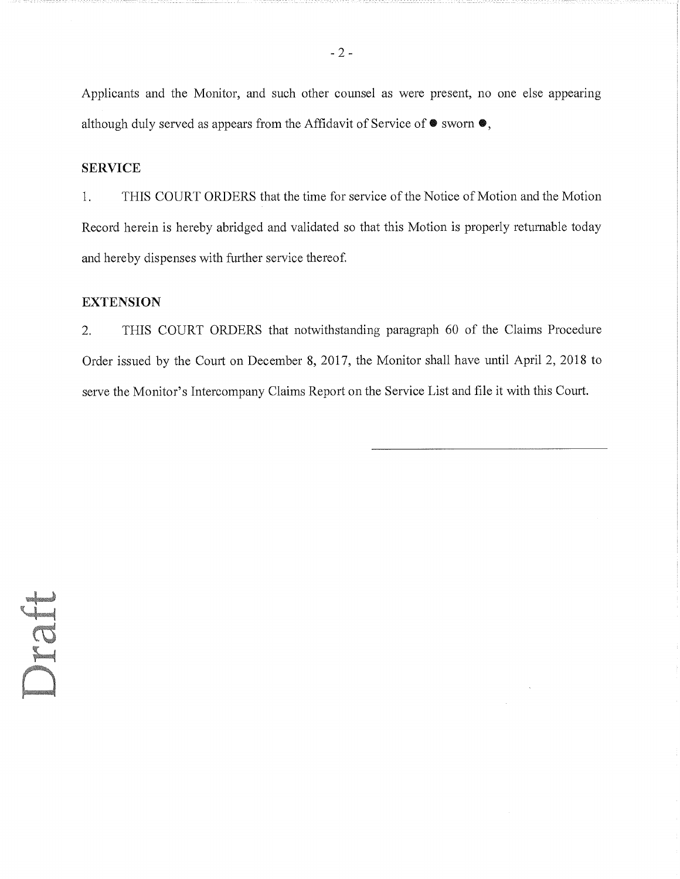Applicants and the Monitor, and such other counsel as were present, no one else appearing although duly served as appears from the Affidavit of Service of  $\bullet$  sworn  $\bullet$ ,

## SERVICE

1. THIS COURT ORDERS that the time for service of the Notice of Motion and the Motion Record herein is hereby abridged and validated so that this Motion is properly returnable today and hereby dispenses with further service thereof.

## **EXTENSION**

2. THIS COURT ORDERS that notwithstanding paragraph 60 of the Claims Procedure Order issued by the Court on December 8, 2017, the Monitor shall have until April 2, 2018 to serve the Monitor's Intercompany Claims Report on the Service List and file it with this Court.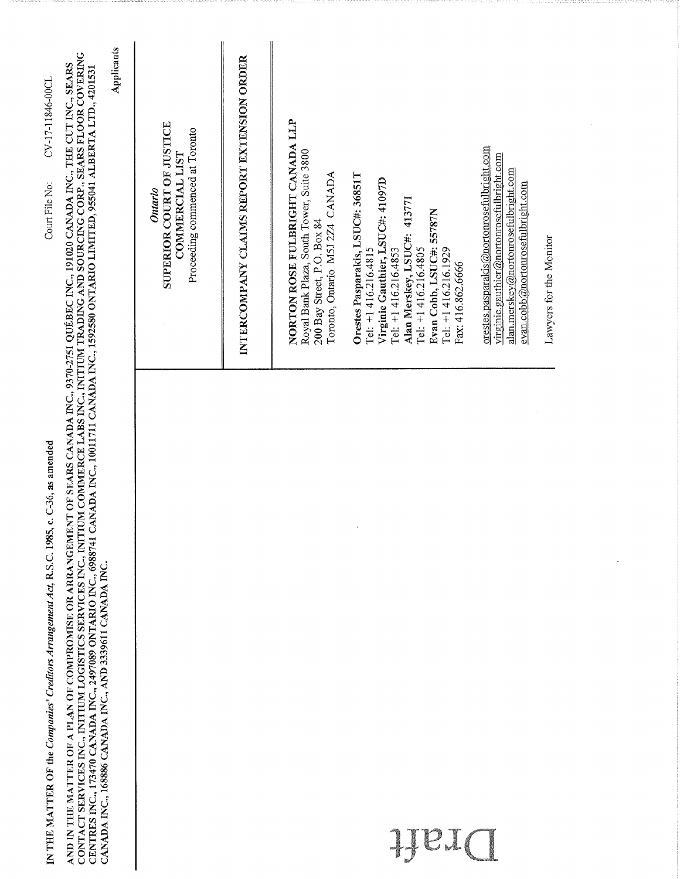| C-36, as amended<br>IN THE MATTER OF the Companies' Creditors Arrangement Act, R.S.C. 1985, c.                                                                                                                                                                                                                                                                                                                                  | $CV-17-11846-00CL$<br>Court File No:                                                                                                                                                                                                                                                                                                                                                                                                                                                                                                                                               |
|---------------------------------------------------------------------------------------------------------------------------------------------------------------------------------------------------------------------------------------------------------------------------------------------------------------------------------------------------------------------------------------------------------------------------------|------------------------------------------------------------------------------------------------------------------------------------------------------------------------------------------------------------------------------------------------------------------------------------------------------------------------------------------------------------------------------------------------------------------------------------------------------------------------------------------------------------------------------------------------------------------------------------|
| CONTACT SERVICES INC., INITIUM LOGISTICS SERVICES INC., INITIUM COMMERCE LABS INC., INITIUM TRADING AND SOURCING CORP., SEARS FLOOR COVERING<br>AND IN THE MATTER OF A PLAN OF COMPROMISE OR ARRANGEMENT OF SEARS CANADA INC., 9370-2751 QUÉBEC INC., 191020 CANADA INC., THE CUT INC., SEARS<br>CENTRES INC., 173470 CANADA INC., 2497089 ONTARIO INC., 6988741 CA<br>CANADA INC., 168886 CANADA INC., AND 3339611 CANADA INC. | NADA INC., 10011711 CANADA INC., 1592580 ONTARIO LIMITED, 955041 ALBERTA LTD., 4201531                                                                                                                                                                                                                                                                                                                                                                                                                                                                                             |
|                                                                                                                                                                                                                                                                                                                                                                                                                                 | Applicants                                                                                                                                                                                                                                                                                                                                                                                                                                                                                                                                                                         |
|                                                                                                                                                                                                                                                                                                                                                                                                                                 | SUPERIOR COURT OF JUSTICE<br>Proceeding commenced at Toronto<br>COMMERCIAL LIST<br>Ontario                                                                                                                                                                                                                                                                                                                                                                                                                                                                                         |
|                                                                                                                                                                                                                                                                                                                                                                                                                                 | INTERCOMPANY CLAIMS REPORT EXTENSION ORDER                                                                                                                                                                                                                                                                                                                                                                                                                                                                                                                                         |
| PraC                                                                                                                                                                                                                                                                                                                                                                                                                            | NORTON ROSE FULBRIGHT CANADA LLP<br>orestes.pasparakis@nortonrosefulbright.com<br>Royal Bank Plaza, South Tower, Suite 3800<br>virginie.gauthier@nortonrosefulbright.com<br>alan.merskey@nortonrosefulbright.com<br>Toronto, Ontario M5J 2Z4 CANADA<br>Orestes Pasparakis, LSUC#: 36851T<br>Virginie Gauthier, LSUC#: 41097D<br>evan.cobb@nortonrosefulbright.com<br>Alan Merskey, LSUC#: 413771<br>Evan Cobb, LSUC#: 55787N<br>200 Bay Street, P.O. Box 84<br>Tel: +1 416.216.4805<br>Tel: $+1416.216.4815$<br>Tel: +1 416.216.1929<br>Tel: $+1416.216.4853$<br>Fax: 416.862.6666 |
|                                                                                                                                                                                                                                                                                                                                                                                                                                 | Lawyers for the Monitor                                                                                                                                                                                                                                                                                                                                                                                                                                                                                                                                                            |
|                                                                                                                                                                                                                                                                                                                                                                                                                                 |                                                                                                                                                                                                                                                                                                                                                                                                                                                                                                                                                                                    |